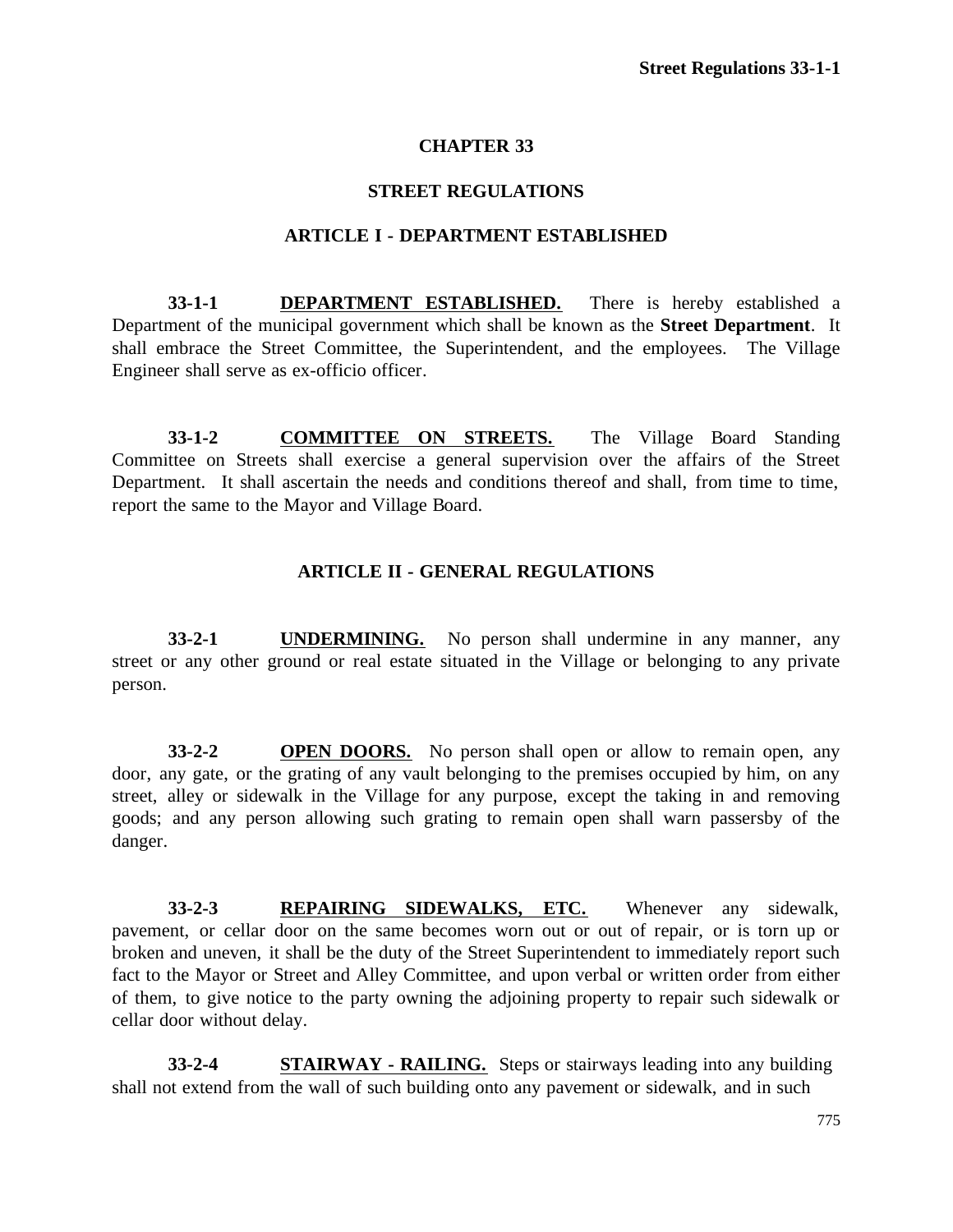# **CHAPTER 33**

### **STREET REGULATIONS**

### **ARTICLE I - DEPARTMENT ESTABLISHED**

**33-1-1 DEPARTMENT ESTABLISHED.** There is hereby established a Department of the municipal government which shall be known as the **Street Department**. It shall embrace the Street Committee, the Superintendent, and the employees. The Village Engineer shall serve as ex-officio officer.

**33-1-2 COMMITTEE ON STREETS.** The Village Board Standing Committee on Streets shall exercise a general supervision over the affairs of the Street Department. It shall ascertain the needs and conditions thereof and shall, from time to time, report the same to the Mayor and Village Board.

### **ARTICLE II - GENERAL REGULATIONS**

**33-2-1 UNDERMINING.** No person shall undermine in any manner, any street or any other ground or real estate situated in the Village or belonging to any private person.

**33-2-2 OPEN DOORS.** No person shall open or allow to remain open, any door, any gate, or the grating of any vault belonging to the premises occupied by him, on any street, alley or sidewalk in the Village for any purpose, except the taking in and removing goods; and any person allowing such grating to remain open shall warn passersby of the danger.

**33-2-3 REPAIRING SIDEWALKS, ETC.** Whenever any sidewalk, pavement, or cellar door on the same becomes worn out or out of repair, or is torn up or broken and uneven, it shall be the duty of the Street Superintendent to immediately report such fact to the Mayor or Street and Alley Committee, and upon verbal or written order from either of them, to give notice to the party owning the adjoining property to repair such sidewalk or cellar door without delay.

**33-2-4 STAIRWAY - RAILING.** Steps or stairways leading into any building shall not extend from the wall of such building onto any pavement or sidewalk, and in such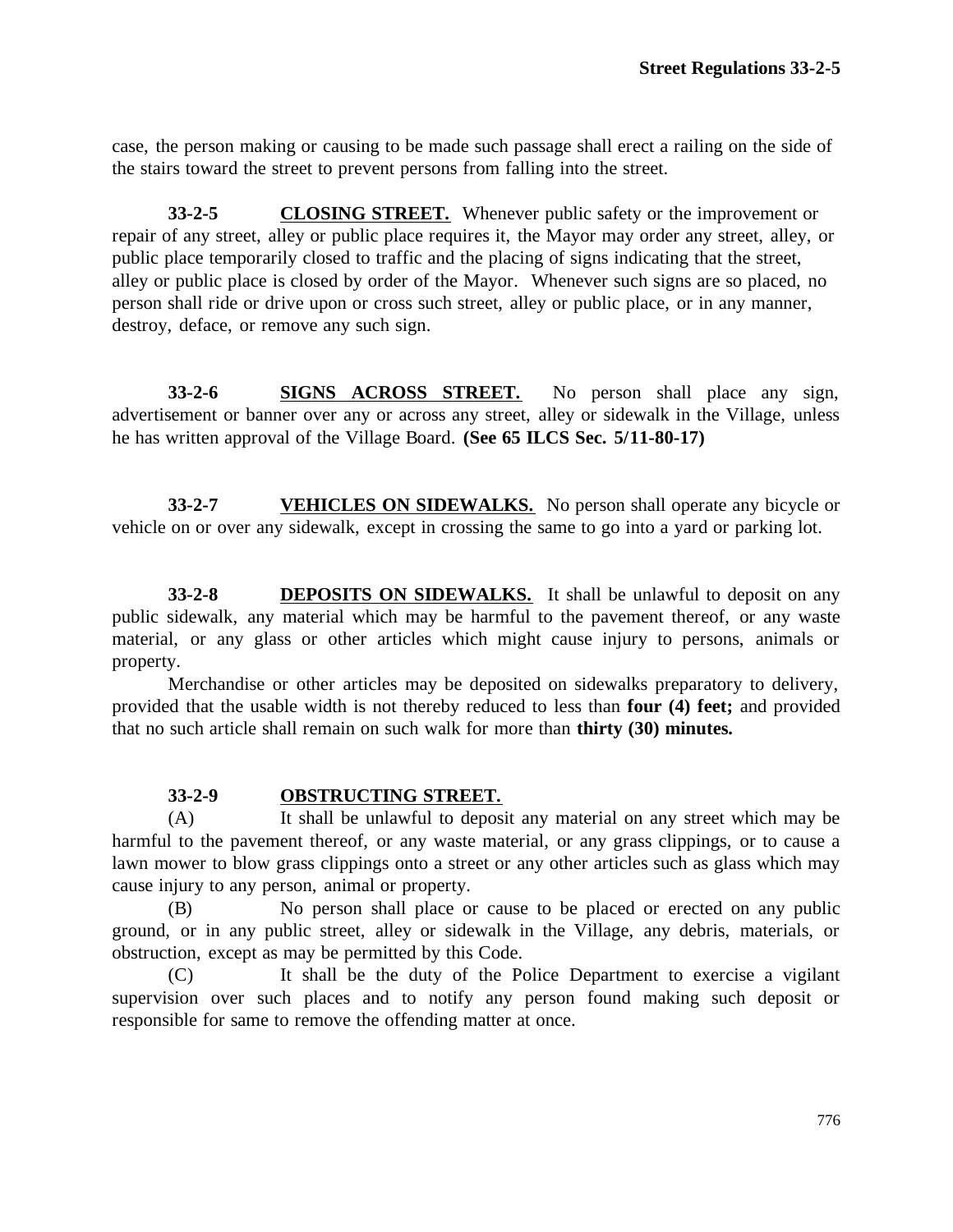case, the person making or causing to be made such passage shall erect a railing on the side of the stairs toward the street to prevent persons from falling into the street.

**33-2-5 CLOSING STREET.** Whenever public safety or the improvement or repair of any street, alley or public place requires it, the Mayor may order any street, alley, or public place temporarily closed to traffic and the placing of signs indicating that the street, alley or public place is closed by order of the Mayor. Whenever such signs are so placed, no person shall ride or drive upon or cross such street, alley or public place, or in any manner, destroy, deface, or remove any such sign.

**33-2-6 SIGNS ACROSS STREET.** No person shall place any sign, advertisement or banner over any or across any street, alley or sidewalk in the Village, unless he has written approval of the Village Board. **(See 65 ILCS Sec. 5/11-80-17)**

**33-2-7 VEHICLES ON SIDEWALKS.** No person shall operate any bicycle or vehicle on or over any sidewalk, except in crossing the same to go into a yard or parking lot.

**33-2-8 DEPOSITS ON SIDEWALKS.** It shall be unlawful to deposit on any public sidewalk, any material which may be harmful to the pavement thereof, or any waste material, or any glass or other articles which might cause injury to persons, animals or property.

Merchandise or other articles may be deposited on sidewalks preparatory to delivery, provided that the usable width is not thereby reduced to less than **four (4) feet;** and provided that no such article shall remain on such walk for more than **thirty (30) minutes.**

## **33-2-9 OBSTRUCTING STREET.**

(A) It shall be unlawful to deposit any material on any street which may be harmful to the pavement thereof, or any waste material, or any grass clippings, or to cause a lawn mower to blow grass clippings onto a street or any other articles such as glass which may cause injury to any person, animal or property.

(B) No person shall place or cause to be placed or erected on any public ground, or in any public street, alley or sidewalk in the Village, any debris, materials, or obstruction, except as may be permitted by this Code.

(C) It shall be the duty of the Police Department to exercise a vigilant supervision over such places and to notify any person found making such deposit or responsible for same to remove the offending matter at once.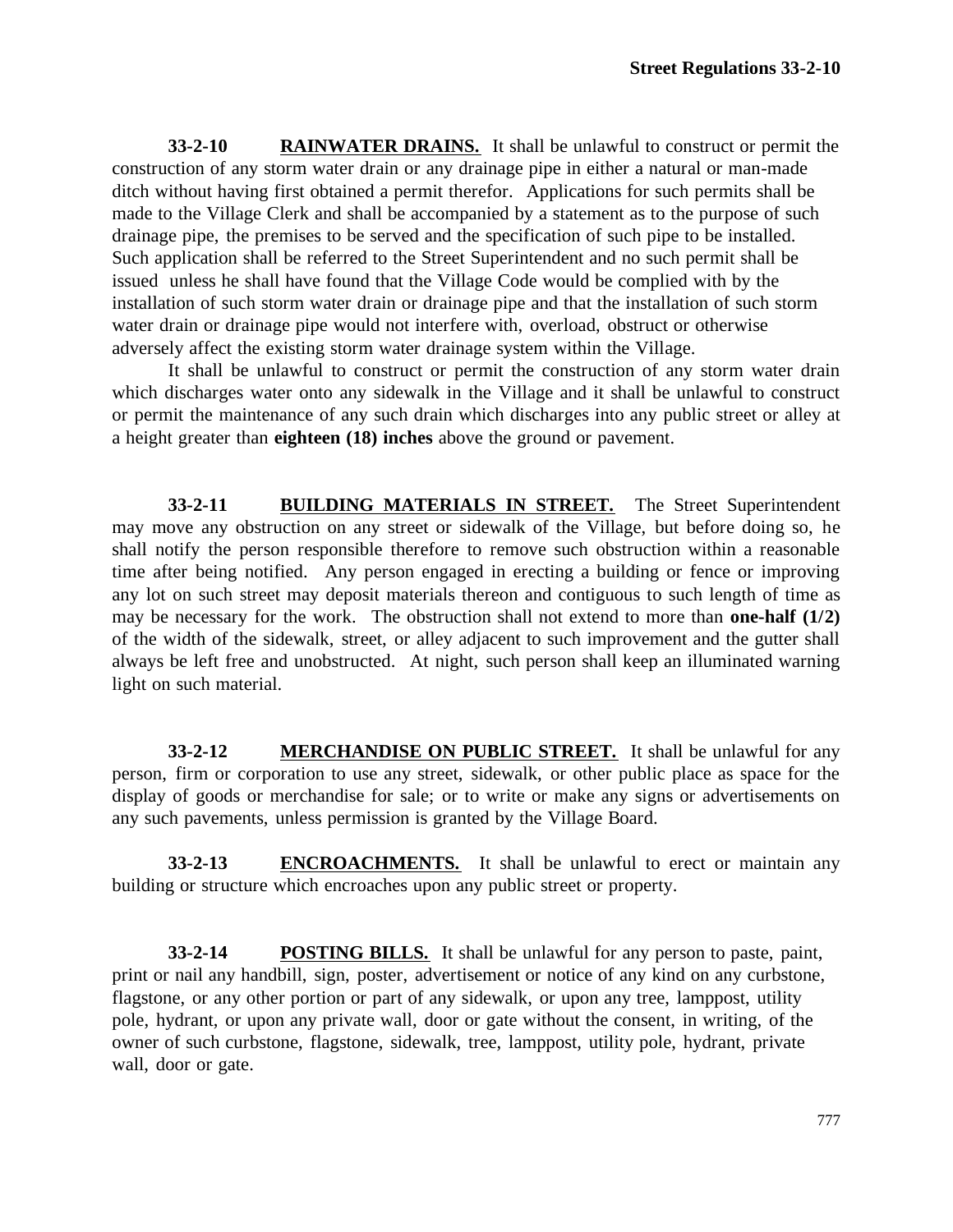**33-2-10 RAINWATER DRAINS.** It shall be unlawful to construct or permit the construction of any storm water drain or any drainage pipe in either a natural or man-made ditch without having first obtained a permit therefor. Applications for such permits shall be made to the Village Clerk and shall be accompanied by a statement as to the purpose of such drainage pipe, the premises to be served and the specification of such pipe to be installed. Such application shall be referred to the Street Superintendent and no such permit shall be issued unless he shall have found that the Village Code would be complied with by the installation of such storm water drain or drainage pipe and that the installation of such storm water drain or drainage pipe would not interfere with, overload, obstruct or otherwise adversely affect the existing storm water drainage system within the Village.

It shall be unlawful to construct or permit the construction of any storm water drain which discharges water onto any sidewalk in the Village and it shall be unlawful to construct or permit the maintenance of any such drain which discharges into any public street or alley at a height greater than **eighteen (18) inches** above the ground or pavement.

**33-2-11 BUILDING MATERIALS IN STREET.** The Street Superintendent may move any obstruction on any street or sidewalk of the Village, but before doing so, he shall notify the person responsible therefore to remove such obstruction within a reasonable time after being notified. Any person engaged in erecting a building or fence or improving any lot on such street may deposit materials thereon and contiguous to such length of time as may be necessary for the work. The obstruction shall not extend to more than **one-half (1/2)** of the width of the sidewalk, street, or alley adjacent to such improvement and the gutter shall always be left free and unobstructed. At night, such person shall keep an illuminated warning light on such material.

**33-2-12 MERCHANDISE ON PUBLIC STREET.** It shall be unlawful for any person, firm or corporation to use any street, sidewalk, or other public place as space for the display of goods or merchandise for sale; or to write or make any signs or advertisements on any such pavements, unless permission is granted by the Village Board.

**33-2-13 ENCROACHMENTS.** It shall be unlawful to erect or maintain any building or structure which encroaches upon any public street or property.

**33-2-14 POSTING BILLS.** It shall be unlawful for any person to paste, paint, print or nail any handbill, sign, poster, advertisement or notice of any kind on any curbstone, flagstone, or any other portion or part of any sidewalk, or upon any tree, lamppost, utility pole, hydrant, or upon any private wall, door or gate without the consent, in writing, of the owner of such curbstone, flagstone, sidewalk, tree, lamppost, utility pole, hydrant, private wall, door or gate.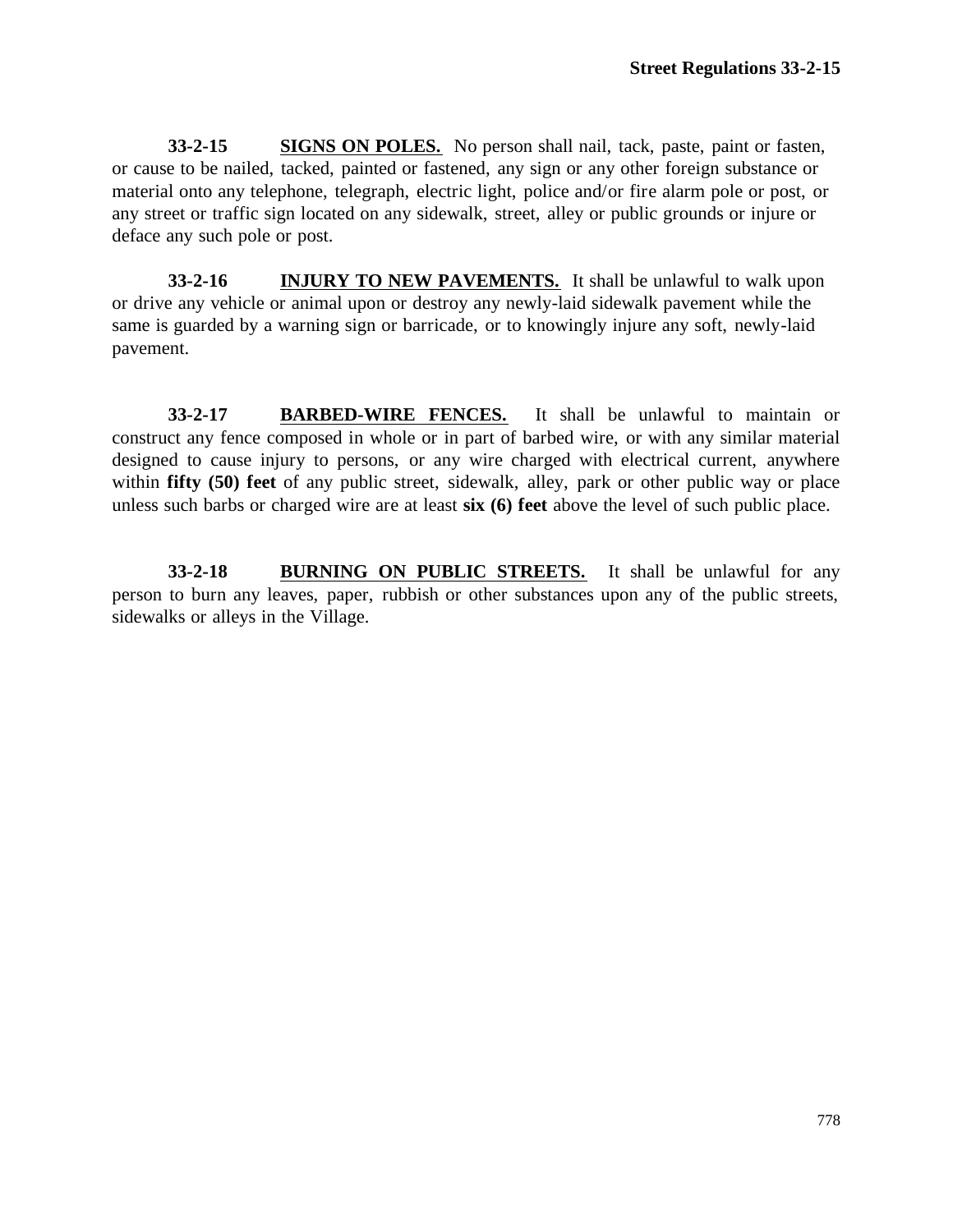**33-2-15 SIGNS ON POLES.** No person shall nail, tack, paste, paint or fasten, or cause to be nailed, tacked, painted or fastened, any sign or any other foreign substance or material onto any telephone, telegraph, electric light, police and/or fire alarm pole or post, or any street or traffic sign located on any sidewalk, street, alley or public grounds or injure or deface any such pole or post.

**33-2-16 INJURY TO NEW PAVEMENTS.** It shall be unlawful to walk upon or drive any vehicle or animal upon or destroy any newly-laid sidewalk pavement while the same is guarded by a warning sign or barricade, or to knowingly injure any soft, newly-laid pavement.

**33-2-17 BARBED-WIRE FENCES.** It shall be unlawful to maintain or construct any fence composed in whole or in part of barbed wire, or with any similar material designed to cause injury to persons, or any wire charged with electrical current, anywhere within **fifty** (50) feet of any public street, sidewalk, alley, park or other public way or place unless such barbs or charged wire are at least **six (6) feet** above the level of such public place.

**33-2-18 BURNING ON PUBLIC STREETS.** It shall be unlawful for any person to burn any leaves, paper, rubbish or other substances upon any of the public streets, sidewalks or alleys in the Village.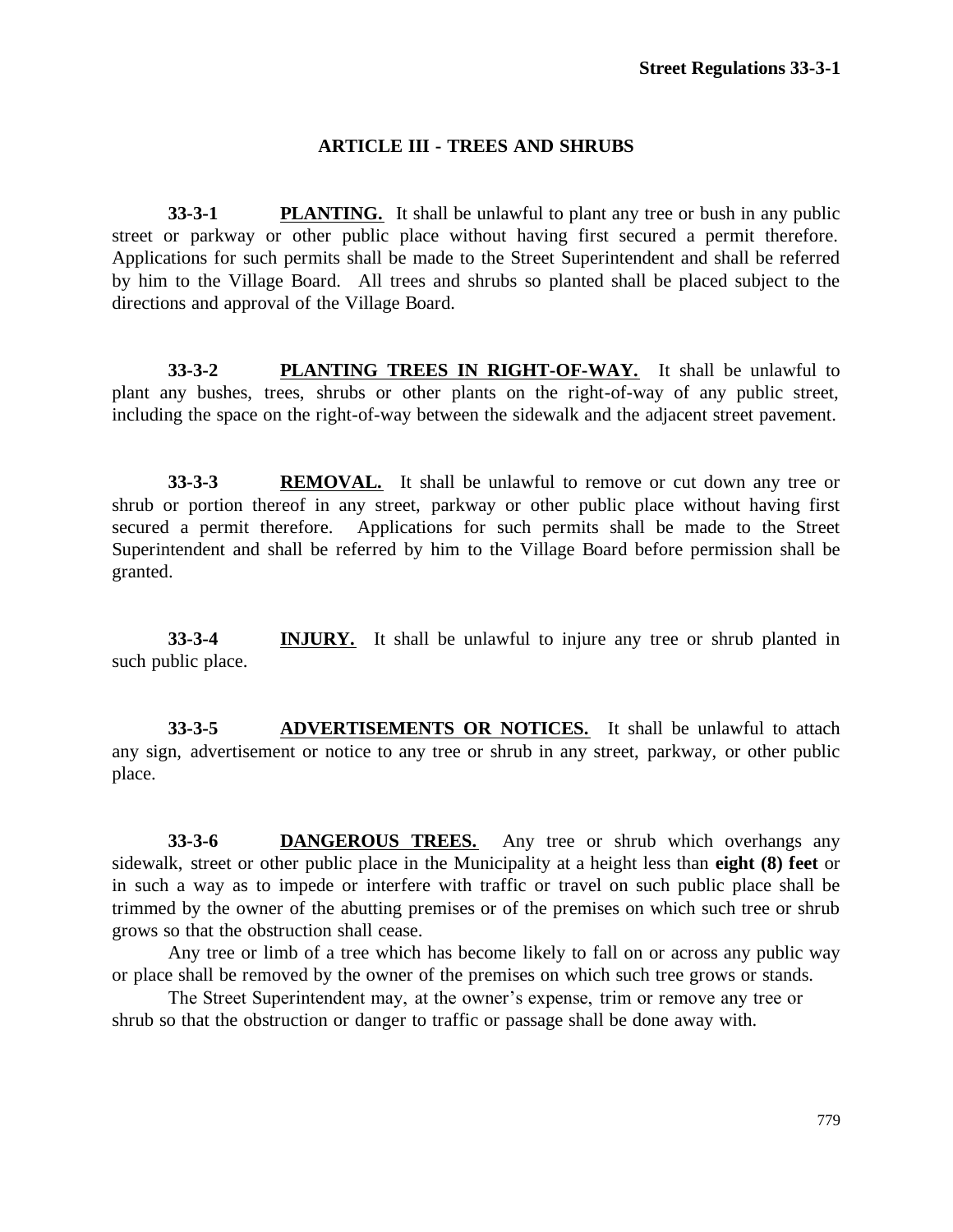### **ARTICLE III - TREES AND SHRUBS**

**33-3-1 PLANTING.** It shall be unlawful to plant any tree or bush in any public street or parkway or other public place without having first secured a permit therefore. Applications for such permits shall be made to the Street Superintendent and shall be referred by him to the Village Board. All trees and shrubs so planted shall be placed subject to the directions and approval of the Village Board.

**33-3-2 PLANTING TREES IN RIGHT-OF-WAY.** It shall be unlawful to plant any bushes, trees, shrubs or other plants on the right-of-way of any public street, including the space on the right-of-way between the sidewalk and the adjacent street pavement.

**33-3-3 REMOVAL.** It shall be unlawful to remove or cut down any tree or shrub or portion thereof in any street, parkway or other public place without having first secured a permit therefore. Applications for such permits shall be made to the Street Superintendent and shall be referred by him to the Village Board before permission shall be granted.

**33-3-4 INJURY.** It shall be unlawful to injure any tree or shrub planted in such public place.

**33-3-5 ADVERTISEMENTS OR NOTICES.** It shall be unlawful to attach any sign, advertisement or notice to any tree or shrub in any street, parkway, or other public place.

**33-3-6 DANGEROUS TREES.** Any tree or shrub which overhangs any sidewalk, street or other public place in the Municipality at a height less than **eight (8) feet** or in such a way as to impede or interfere with traffic or travel on such public place shall be trimmed by the owner of the abutting premises or of the premises on which such tree or shrub grows so that the obstruction shall cease.

Any tree or limb of a tree which has become likely to fall on or across any public way or place shall be removed by the owner of the premises on which such tree grows or stands.

The Street Superintendent may, at the owner's expense, trim or remove any tree or shrub so that the obstruction or danger to traffic or passage shall be done away with.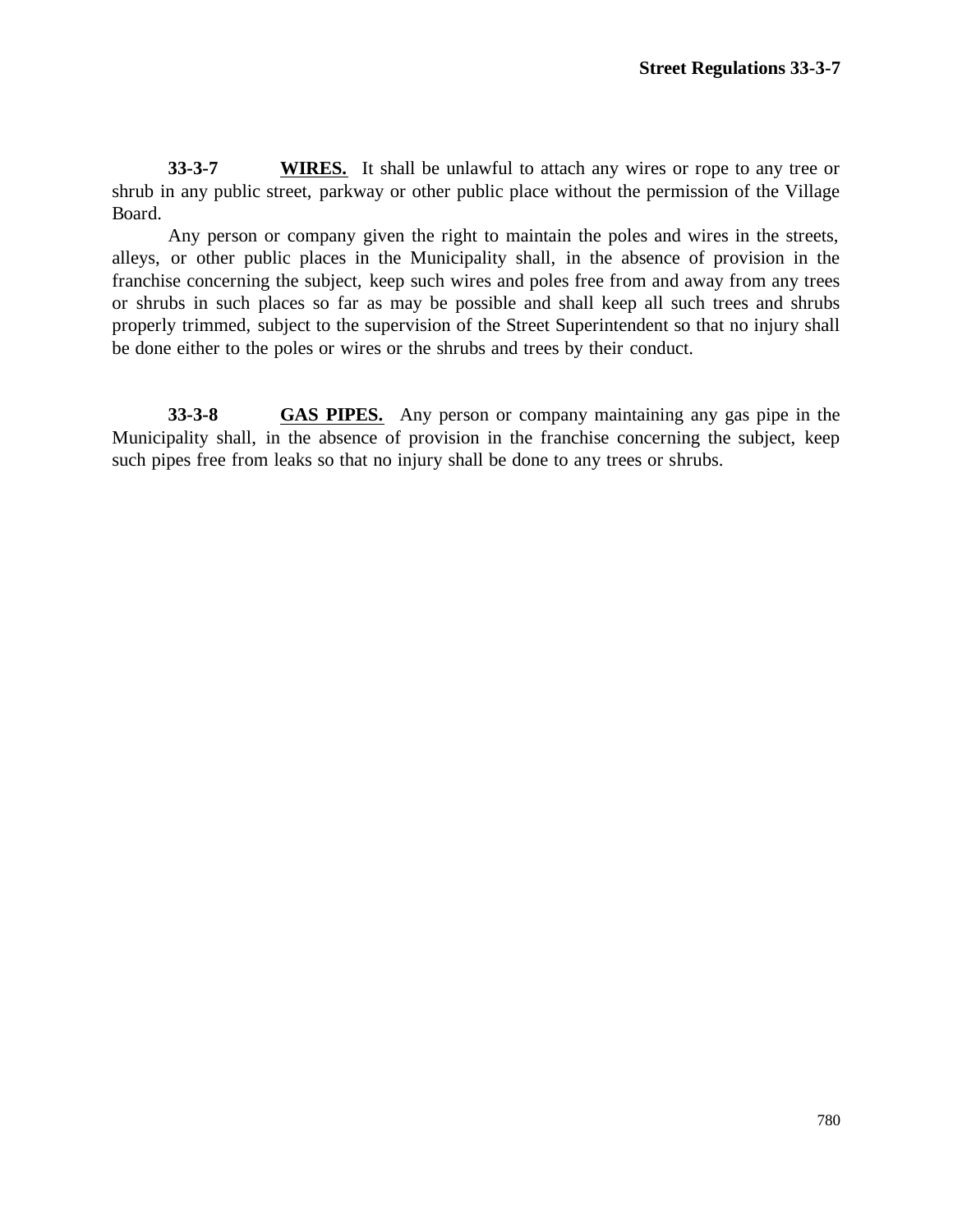**33-3-7 WIRES.** It shall be unlawful to attach any wires or rope to any tree or shrub in any public street, parkway or other public place without the permission of the Village Board.

Any person or company given the right to maintain the poles and wires in the streets, alleys, or other public places in the Municipality shall, in the absence of provision in the franchise concerning the subject, keep such wires and poles free from and away from any trees or shrubs in such places so far as may be possible and shall keep all such trees and shrubs properly trimmed, subject to the supervision of the Street Superintendent so that no injury shall be done either to the poles or wires or the shrubs and trees by their conduct.

**33-3-8 GAS PIPES.** Any person or company maintaining any gas pipe in the Municipality shall, in the absence of provision in the franchise concerning the subject, keep such pipes free from leaks so that no injury shall be done to any trees or shrubs.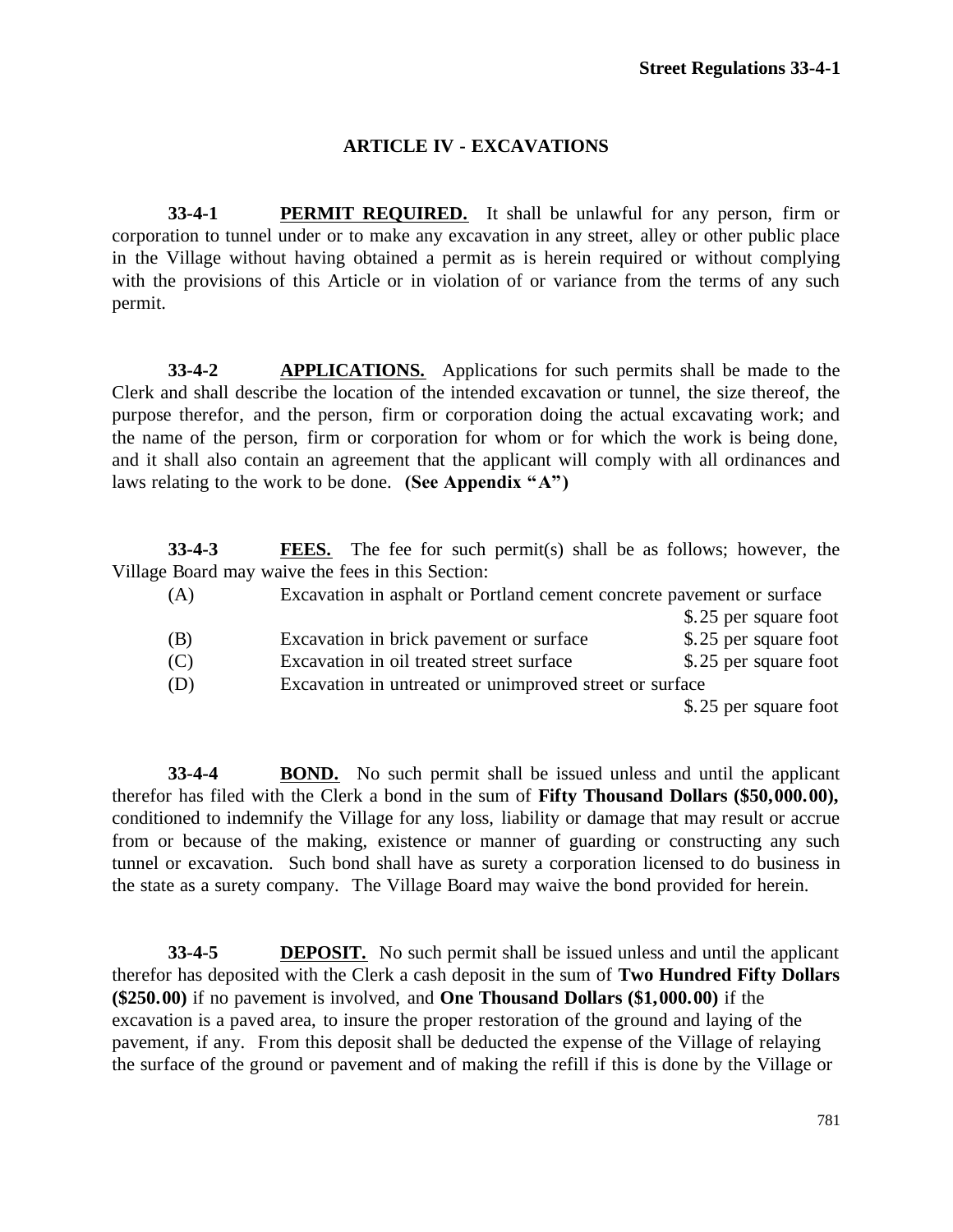# **ARTICLE IV - EXCAVATIONS**

**33-4-1 PERMIT REQUIRED.** It shall be unlawful for any person, firm or corporation to tunnel under or to make any excavation in any street, alley or other public place in the Village without having obtained a permit as is herein required or without complying with the provisions of this Article or in violation of or variance from the terms of any such permit.

**33-4-2 APPLICATIONS.** Applications for such permits shall be made to the Clerk and shall describe the location of the intended excavation or tunnel, the size thereof, the purpose therefor, and the person, firm or corporation doing the actual excavating work; and the name of the person, firm or corporation for whom or for which the work is being done, and it shall also contain an agreement that the applicant will comply with all ordinances and laws relating to the work to be done. **(See Appendix "A")**

**33-4-3 FEES.** The fee for such permit(s) shall be as follows; however, the Village Board may waive the fees in this Section:

| (A) | Excavation in asphalt or Portland cement concrete pavement or surface |                       |
|-----|-----------------------------------------------------------------------|-----------------------|
|     |                                                                       | \$.25 per square foot |
| (B) | Excavation in brick pavement or surface                               | \$.25 per square foot |
| (C) | Excavation in oil treated street surface                              | \$.25 per square foot |
| (D) | Excavation in untreated or unimproved street or surface               |                       |
|     |                                                                       | \$.25 per square foot |

**33-4-4 BOND.** No such permit shall be issued unless and until the applicant therefor has filed with the Clerk a bond in the sum of **Fifty Thousand Dollars (\$50,000.00),** conditioned to indemnify the Village for any loss, liability or damage that may result or accrue from or because of the making, existence or manner of guarding or constructing any such tunnel or excavation. Such bond shall have as surety a corporation licensed to do business in the state as a surety company. The Village Board may waive the bond provided for herein.

**33-4-5 DEPOSIT.** No such permit shall be issued unless and until the applicant therefor has deposited with the Clerk a cash deposit in the sum of **Two Hundred Fifty Dollars (\$250.00)** if no pavement is involved, and **One Thousand Dollars (\$1,000.00)** if the excavation is a paved area, to insure the proper restoration of the ground and laying of the pavement, if any. From this deposit shall be deducted the expense of the Village of relaying the surface of the ground or pavement and of making the refill if this is done by the Village or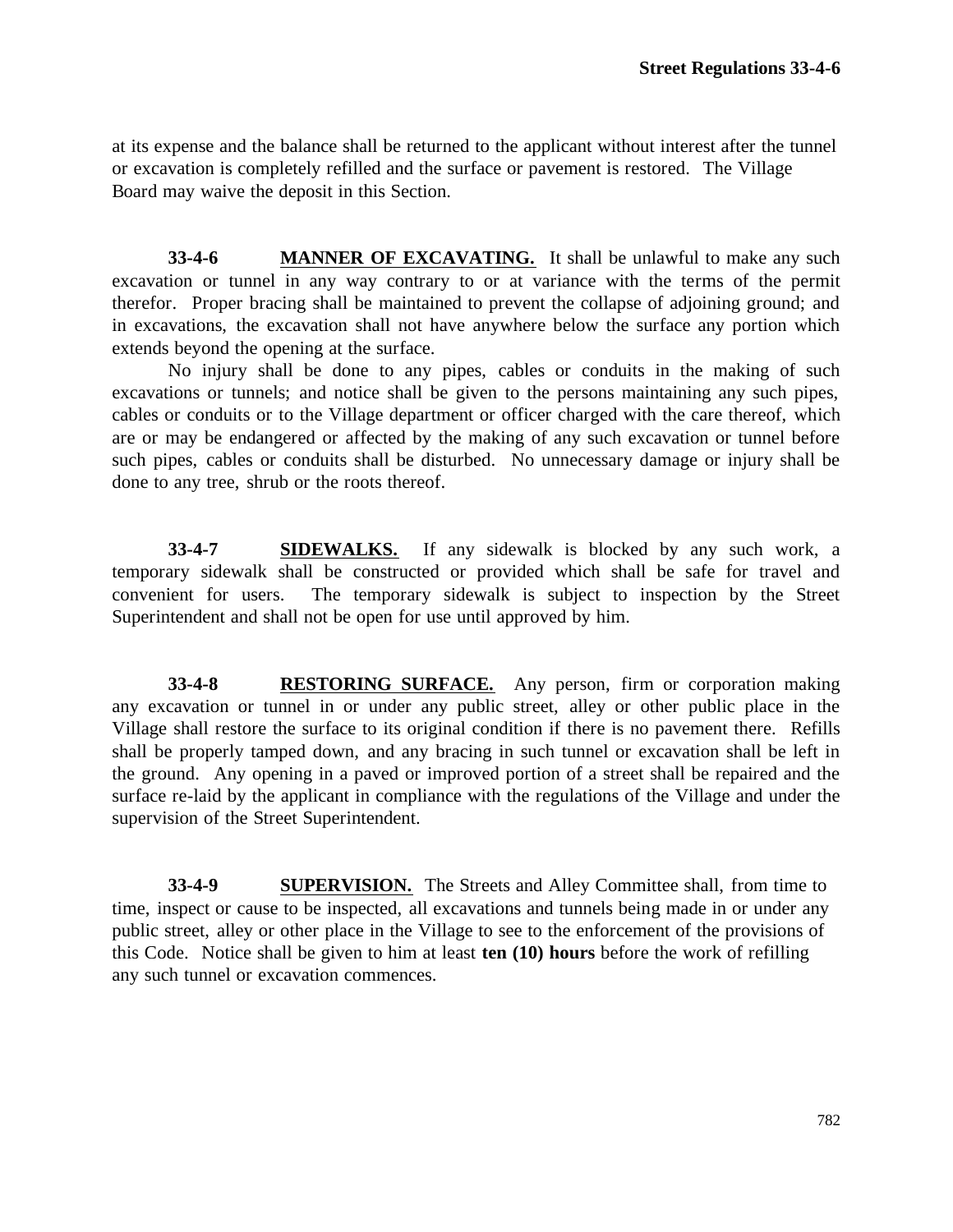at its expense and the balance shall be returned to the applicant without interest after the tunnel or excavation is completely refilled and the surface or pavement is restored. The Village Board may waive the deposit in this Section.

**33-4-6 MANNER OF EXCAVATING.** It shall be unlawful to make any such excavation or tunnel in any way contrary to or at variance with the terms of the permit therefor. Proper bracing shall be maintained to prevent the collapse of adjoining ground; and in excavations, the excavation shall not have anywhere below the surface any portion which extends beyond the opening at the surface.

No injury shall be done to any pipes, cables or conduits in the making of such excavations or tunnels; and notice shall be given to the persons maintaining any such pipes, cables or conduits or to the Village department or officer charged with the care thereof, which are or may be endangered or affected by the making of any such excavation or tunnel before such pipes, cables or conduits shall be disturbed. No unnecessary damage or injury shall be done to any tree, shrub or the roots thereof.

**33-4-7 SIDEWALKS.** If any sidewalk is blocked by any such work, a temporary sidewalk shall be constructed or provided which shall be safe for travel and convenient for users. The temporary sidewalk is subject to inspection by the Street Superintendent and shall not be open for use until approved by him.

**33-4-8 RESTORING SURFACE.** Any person, firm or corporation making any excavation or tunnel in or under any public street, alley or other public place in the Village shall restore the surface to its original condition if there is no pavement there. Refills shall be properly tamped down, and any bracing in such tunnel or excavation shall be left in the ground. Any opening in a paved or improved portion of a street shall be repaired and the surface re-laid by the applicant in compliance with the regulations of the Village and under the supervision of the Street Superintendent.

**33-4-9 SUPERVISION.** The Streets and Alley Committee shall, from time to time, inspect or cause to be inspected, all excavations and tunnels being made in or under any public street, alley or other place in the Village to see to the enforcement of the provisions of this Code. Notice shall be given to him at least **ten (10) hours** before the work of refilling any such tunnel or excavation commences.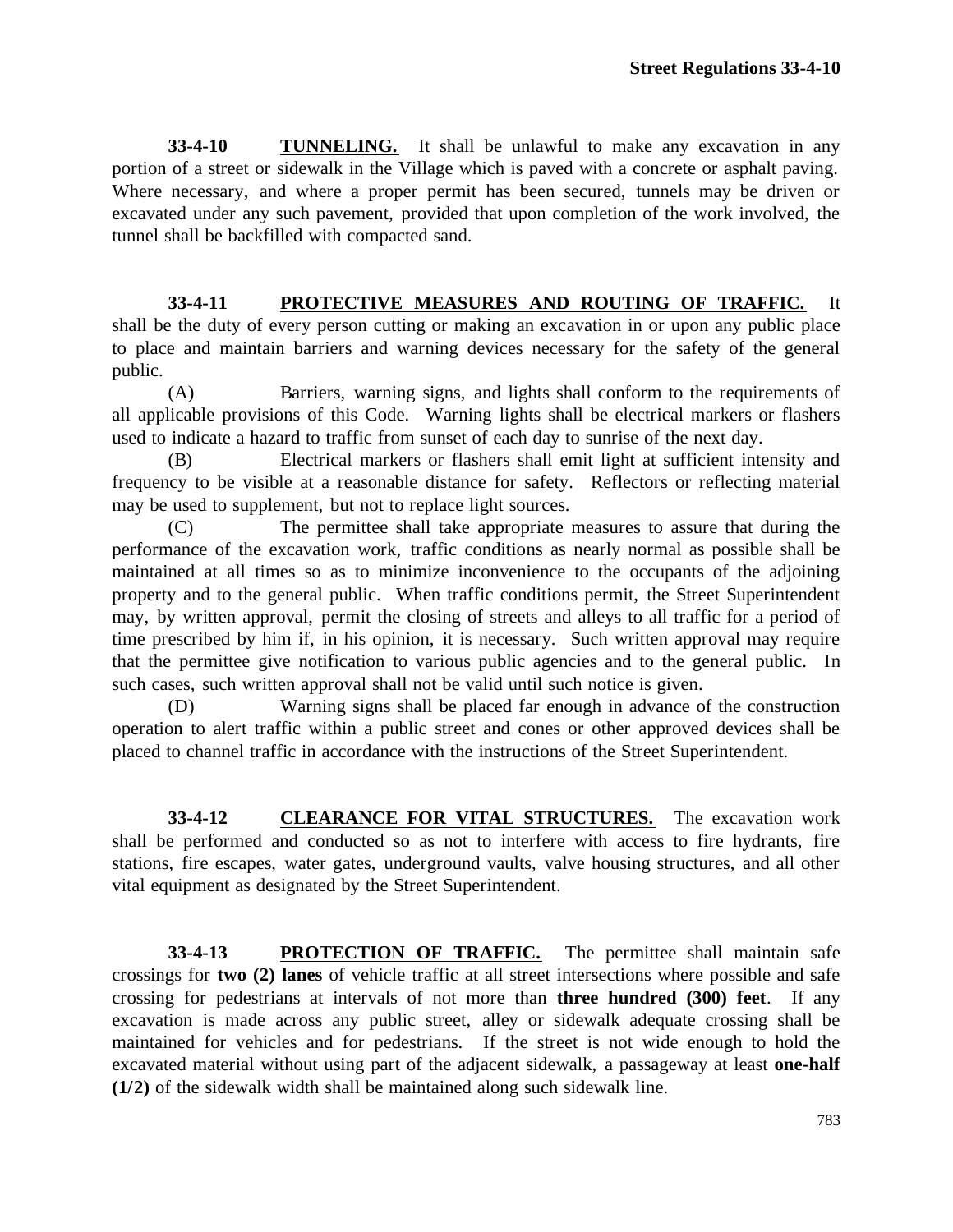**33-4-10 TUNNELING.** It shall be unlawful to make any excavation in any portion of a street or sidewalk in the Village which is paved with a concrete or asphalt paving. Where necessary, and where a proper permit has been secured, tunnels may be driven or excavated under any such pavement, provided that upon completion of the work involved, the tunnel shall be backfilled with compacted sand.

**33-4-11 PROTECTIVE MEASURES AND ROUTING OF TRAFFIC.** It shall be the duty of every person cutting or making an excavation in or upon any public place to place and maintain barriers and warning devices necessary for the safety of the general public.

(A) Barriers, warning signs, and lights shall conform to the requirements of all applicable provisions of this Code. Warning lights shall be electrical markers or flashers used to indicate a hazard to traffic from sunset of each day to sunrise of the next day.

(B) Electrical markers or flashers shall emit light at sufficient intensity and frequency to be visible at a reasonable distance for safety. Reflectors or reflecting material may be used to supplement, but not to replace light sources.

(C) The permittee shall take appropriate measures to assure that during the performance of the excavation work, traffic conditions as nearly normal as possible shall be maintained at all times so as to minimize inconvenience to the occupants of the adjoining property and to the general public. When traffic conditions permit, the Street Superintendent may, by written approval, permit the closing of streets and alleys to all traffic for a period of time prescribed by him if, in his opinion, it is necessary. Such written approval may require that the permittee give notification to various public agencies and to the general public. In such cases, such written approval shall not be valid until such notice is given.

(D) Warning signs shall be placed far enough in advance of the construction operation to alert traffic within a public street and cones or other approved devices shall be placed to channel traffic in accordance with the instructions of the Street Superintendent.

**33-4-12 CLEARANCE FOR VITAL STRUCTURES.** The excavation work shall be performed and conducted so as not to interfere with access to fire hydrants, fire stations, fire escapes, water gates, underground vaults, valve housing structures, and all other vital equipment as designated by the Street Superintendent.

**33-4-13 PROTECTION OF TRAFFIC.** The permittee shall maintain safe crossings for **two (2) lanes** of vehicle traffic at all street intersections where possible and safe crossing for pedestrians at intervals of not more than **three hundred (300) feet**. If any excavation is made across any public street, alley or sidewalk adequate crossing shall be maintained for vehicles and for pedestrians. If the street is not wide enough to hold the excavated material without using part of the adjacent sidewalk, a passageway at least **one-half (1/2)** of the sidewalk width shall be maintained along such sidewalk line.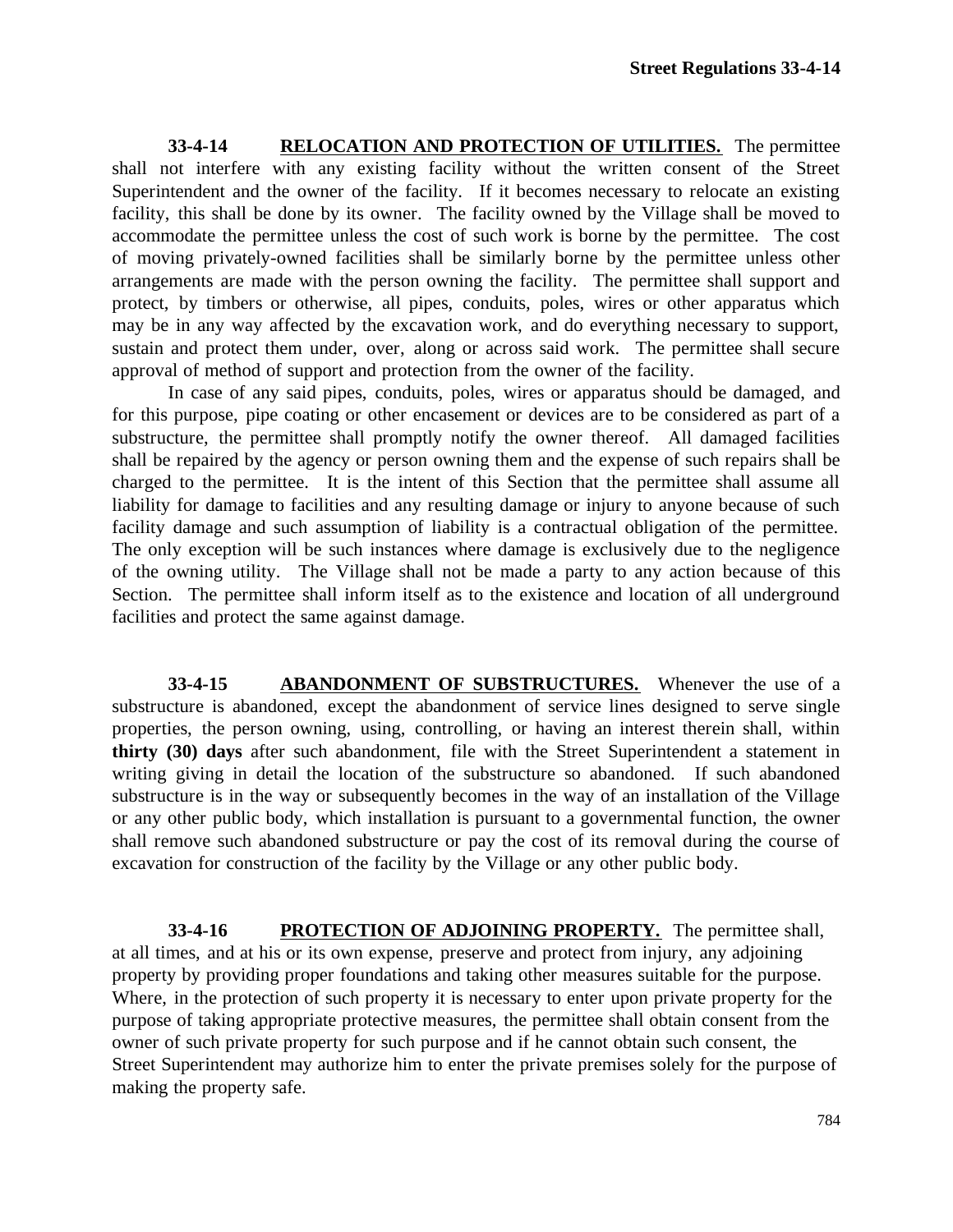**33-4-14 RELOCATION AND PROTECTION OF UTILITIES.** The permittee shall not interfere with any existing facility without the written consent of the Street Superintendent and the owner of the facility. If it becomes necessary to relocate an existing facility, this shall be done by its owner. The facility owned by the Village shall be moved to accommodate the permittee unless the cost of such work is borne by the permittee. The cost of moving privately-owned facilities shall be similarly borne by the permittee unless other arrangements are made with the person owning the facility. The permittee shall support and protect, by timbers or otherwise, all pipes, conduits, poles, wires or other apparatus which may be in any way affected by the excavation work, and do everything necessary to support, sustain and protect them under, over, along or across said work. The permittee shall secure approval of method of support and protection from the owner of the facility.

In case of any said pipes, conduits, poles, wires or apparatus should be damaged, and for this purpose, pipe coating or other encasement or devices are to be considered as part of a substructure, the permittee shall promptly notify the owner thereof. All damaged facilities shall be repaired by the agency or person owning them and the expense of such repairs shall be charged to the permittee. It is the intent of this Section that the permittee shall assume all liability for damage to facilities and any resulting damage or injury to anyone because of such facility damage and such assumption of liability is a contractual obligation of the permittee. The only exception will be such instances where damage is exclusively due to the negligence of the owning utility. The Village shall not be made a party to any action because of this Section. The permittee shall inform itself as to the existence and location of all underground facilities and protect the same against damage.

**33-4-15 ABANDONMENT OF SUBSTRUCTURES.** Whenever the use of a substructure is abandoned, except the abandonment of service lines designed to serve single properties, the person owning, using, controlling, or having an interest therein shall, within **thirty (30) days** after such abandonment, file with the Street Superintendent a statement in writing giving in detail the location of the substructure so abandoned. If such abandoned substructure is in the way or subsequently becomes in the way of an installation of the Village or any other public body, which installation is pursuant to a governmental function, the owner shall remove such abandoned substructure or pay the cost of its removal during the course of excavation for construction of the facility by the Village or any other public body.

**33-4-16 PROTECTION OF ADJOINING PROPERTY.** The permittee shall, at all times, and at his or its own expense, preserve and protect from injury, any adjoining property by providing proper foundations and taking other measures suitable for the purpose. Where, in the protection of such property it is necessary to enter upon private property for the purpose of taking appropriate protective measures, the permittee shall obtain consent from the owner of such private property for such purpose and if he cannot obtain such consent, the Street Superintendent may authorize him to enter the private premises solely for the purpose of making the property safe.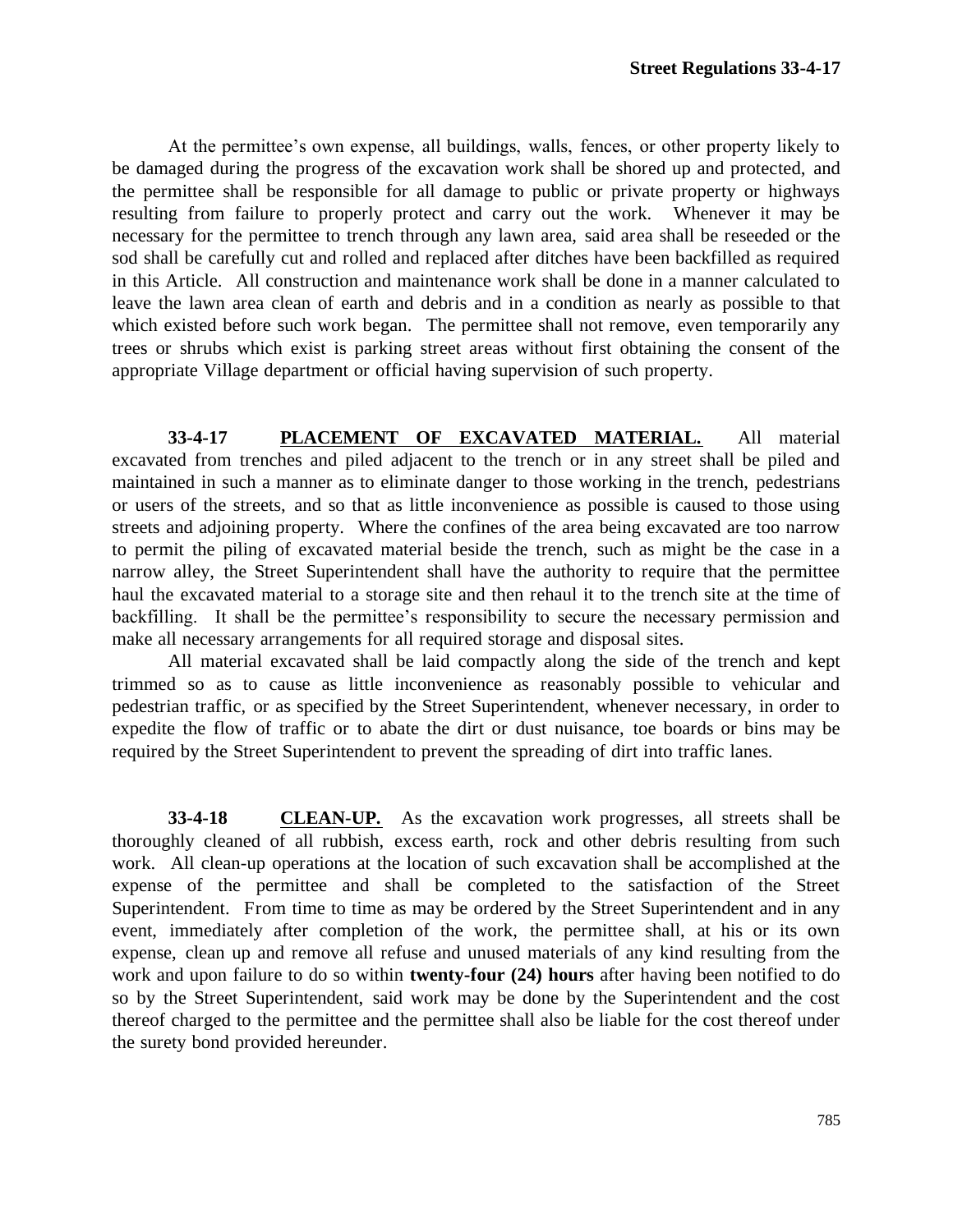At the permittee's own expense, all buildings, walls, fences, or other property likely to be damaged during the progress of the excavation work shall be shored up and protected, and the permittee shall be responsible for all damage to public or private property or highways resulting from failure to properly protect and carry out the work. Whenever it may be necessary for the permittee to trench through any lawn area, said area shall be reseeded or the sod shall be carefully cut and rolled and replaced after ditches have been backfilled as required in this Article. All construction and maintenance work shall be done in a manner calculated to leave the lawn area clean of earth and debris and in a condition as nearly as possible to that which existed before such work began. The permittee shall not remove, even temporarily any trees or shrubs which exist is parking street areas without first obtaining the consent of the appropriate Village department or official having supervision of such property.

**33-4-17 PLACEMENT OF EXCAVATED MATERIAL.** All material excavated from trenches and piled adjacent to the trench or in any street shall be piled and maintained in such a manner as to eliminate danger to those working in the trench, pedestrians or users of the streets, and so that as little inconvenience as possible is caused to those using streets and adjoining property. Where the confines of the area being excavated are too narrow to permit the piling of excavated material beside the trench, such as might be the case in a narrow alley, the Street Superintendent shall have the authority to require that the permittee haul the excavated material to a storage site and then rehaul it to the trench site at the time of backfilling. It shall be the permittee's responsibility to secure the necessary permission and make all necessary arrangements for all required storage and disposal sites.

All material excavated shall be laid compactly along the side of the trench and kept trimmed so as to cause as little inconvenience as reasonably possible to vehicular and pedestrian traffic, or as specified by the Street Superintendent, whenever necessary, in order to expedite the flow of traffic or to abate the dirt or dust nuisance, toe boards or bins may be required by the Street Superintendent to prevent the spreading of dirt into traffic lanes.

**33-4-18 CLEAN-UP.** As the excavation work progresses, all streets shall be thoroughly cleaned of all rubbish, excess earth, rock and other debris resulting from such work. All clean-up operations at the location of such excavation shall be accomplished at the expense of the permittee and shall be completed to the satisfaction of the Street Superintendent. From time to time as may be ordered by the Street Superintendent and in any event, immediately after completion of the work, the permittee shall, at his or its own expense, clean up and remove all refuse and unused materials of any kind resulting from the work and upon failure to do so within **twenty-four (24) hours** after having been notified to do so by the Street Superintendent, said work may be done by the Superintendent and the cost thereof charged to the permittee and the permittee shall also be liable for the cost thereof under the surety bond provided hereunder.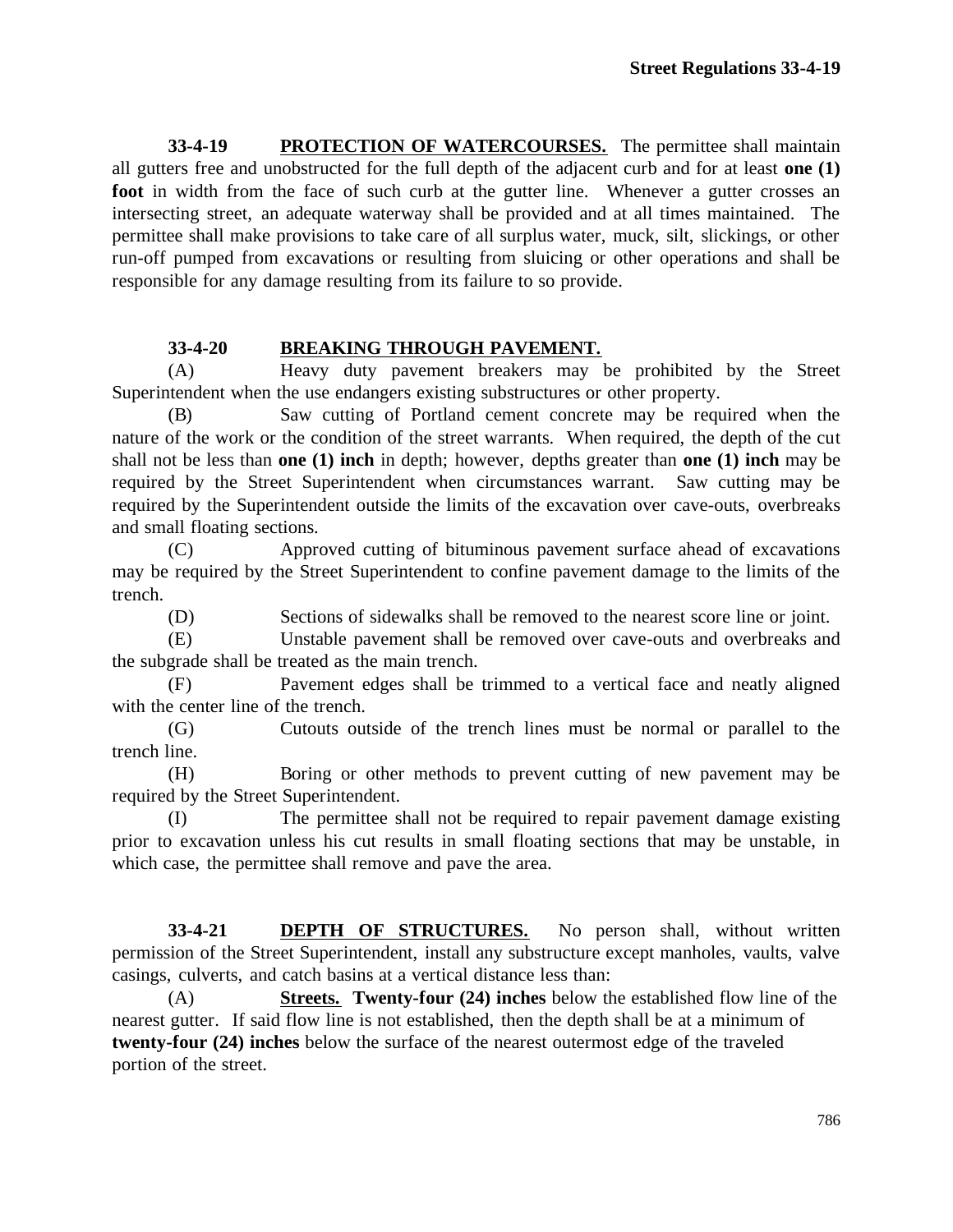**33-4-19 PROTECTION OF WATERCOURSES.** The permittee shall maintain all gutters free and unobstructed for the full depth of the adjacent curb and for at least **one (1) foot** in width from the face of such curb at the gutter line. Whenever a gutter crosses an intersecting street, an adequate waterway shall be provided and at all times maintained. The permittee shall make provisions to take care of all surplus water, muck, silt, slickings, or other run-off pumped from excavations or resulting from sluicing or other operations and shall be responsible for any damage resulting from its failure to so provide.

## **33-4-20 BREAKING THROUGH PAVEMENT.**

(A) Heavy duty pavement breakers may be prohibited by the Street Superintendent when the use endangers existing substructures or other property.

(B) Saw cutting of Portland cement concrete may be required when the nature of the work or the condition of the street warrants. When required, the depth of the cut shall not be less than **one (1) inch** in depth; however, depths greater than **one (1) inch** may be required by the Street Superintendent when circumstances warrant. Saw cutting may be required by the Superintendent outside the limits of the excavation over cave-outs, overbreaks and small floating sections.

(C) Approved cutting of bituminous pavement surface ahead of excavations may be required by the Street Superintendent to confine pavement damage to the limits of the trench.

(D) Sections of sidewalks shall be removed to the nearest score line or joint.

(E) Unstable pavement shall be removed over cave-outs and overbreaks and the subgrade shall be treated as the main trench.

(F) Pavement edges shall be trimmed to a vertical face and neatly aligned with the center line of the trench.

(G) Cutouts outside of the trench lines must be normal or parallel to the trench line.

(H) Boring or other methods to prevent cutting of new pavement may be required by the Street Superintendent.

(I) The permittee shall not be required to repair pavement damage existing prior to excavation unless his cut results in small floating sections that may be unstable, in which case, the permittee shall remove and pave the area.

**33-4-21 DEPTH OF STRUCTURES.** No person shall, without written permission of the Street Superintendent, install any substructure except manholes, vaults, valve casings, culverts, and catch basins at a vertical distance less than:

(A) **Streets. Twenty-four (24) inches** below the established flow line of the nearest gutter. If said flow line is not established, then the depth shall be at a minimum of **twenty-four (24) inches** below the surface of the nearest outermost edge of the traveled portion of the street.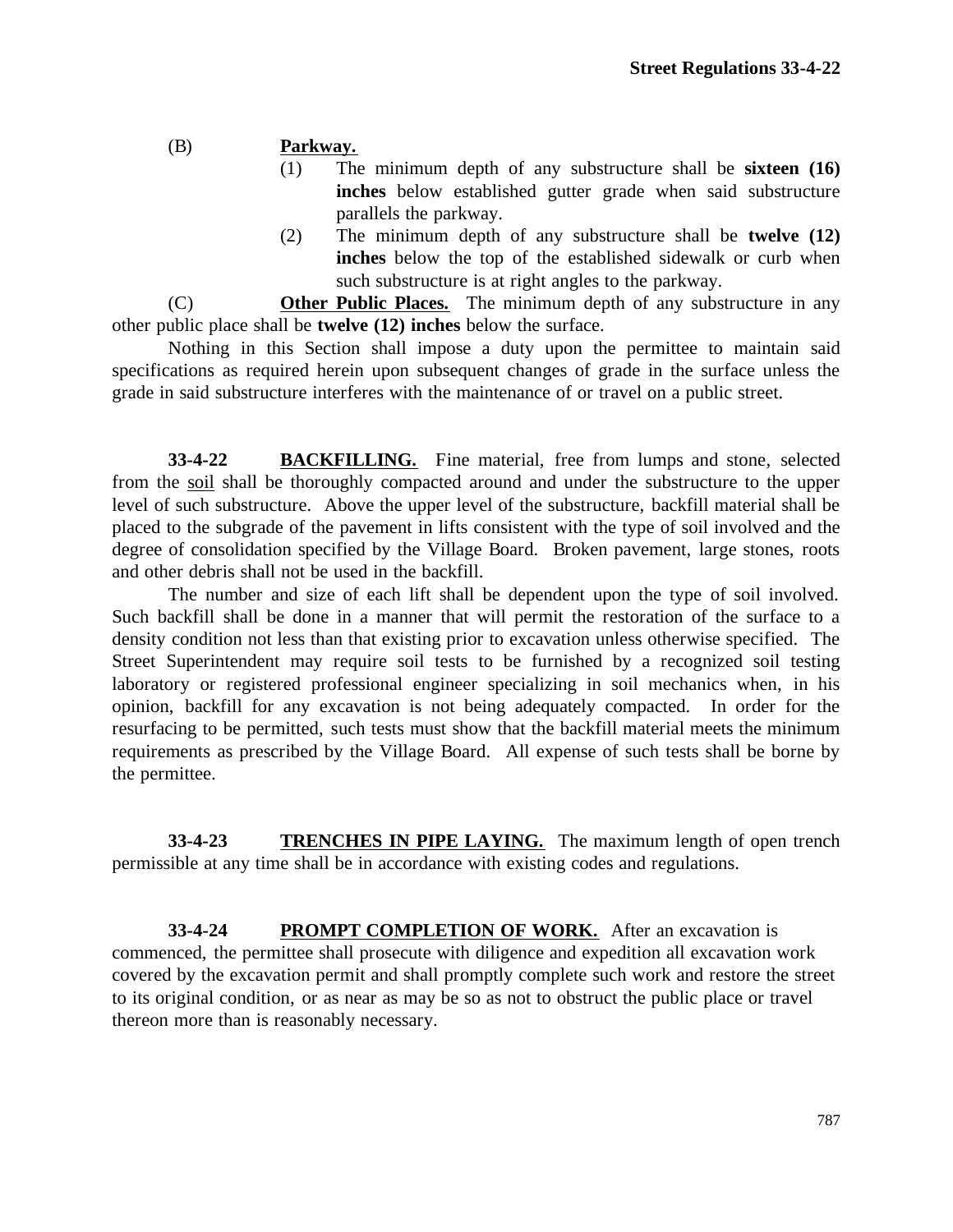#### (B) **Parkway.**

- (1) The minimum depth of any substructure shall be **sixteen (16) inches** below established gutter grade when said substructure parallels the parkway.
- (2) The minimum depth of any substructure shall be **twelve (12) inches** below the top of the established sidewalk or curb when such substructure is at right angles to the parkway.

(C) **Other Public Places.** The minimum depth of any substructure in any other public place shall be **twelve (12) inches** below the surface.

Nothing in this Section shall impose a duty upon the permittee to maintain said specifications as required herein upon subsequent changes of grade in the surface unless the grade in said substructure interferes with the maintenance of or travel on a public street.

**33-4-22 BACKFILLING.** Fine material, free from lumps and stone, selected from the soil shall be thoroughly compacted around and under the substructure to the upper level of such substructure. Above the upper level of the substructure, backfill material shall be placed to the subgrade of the pavement in lifts consistent with the type of soil involved and the degree of consolidation specified by the Village Board. Broken pavement, large stones, roots and other debris shall not be used in the backfill.

The number and size of each lift shall be dependent upon the type of soil involved. Such backfill shall be done in a manner that will permit the restoration of the surface to a density condition not less than that existing prior to excavation unless otherwise specified. The Street Superintendent may require soil tests to be furnished by a recognized soil testing laboratory or registered professional engineer specializing in soil mechanics when, in his opinion, backfill for any excavation is not being adequately compacted. In order for the resurfacing to be permitted, such tests must show that the backfill material meets the minimum requirements as prescribed by the Village Board. All expense of such tests shall be borne by the permittee.

**33-4-23 TRENCHES IN PIPE LAYING.** The maximum length of open trench permissible at any time shall be in accordance with existing codes and regulations.

**33-4-24 PROMPT COMPLETION OF WORK.** After an excavation is commenced, the permittee shall prosecute with diligence and expedition all excavation work covered by the excavation permit and shall promptly complete such work and restore the street to its original condition, or as near as may be so as not to obstruct the public place or travel thereon more than is reasonably necessary.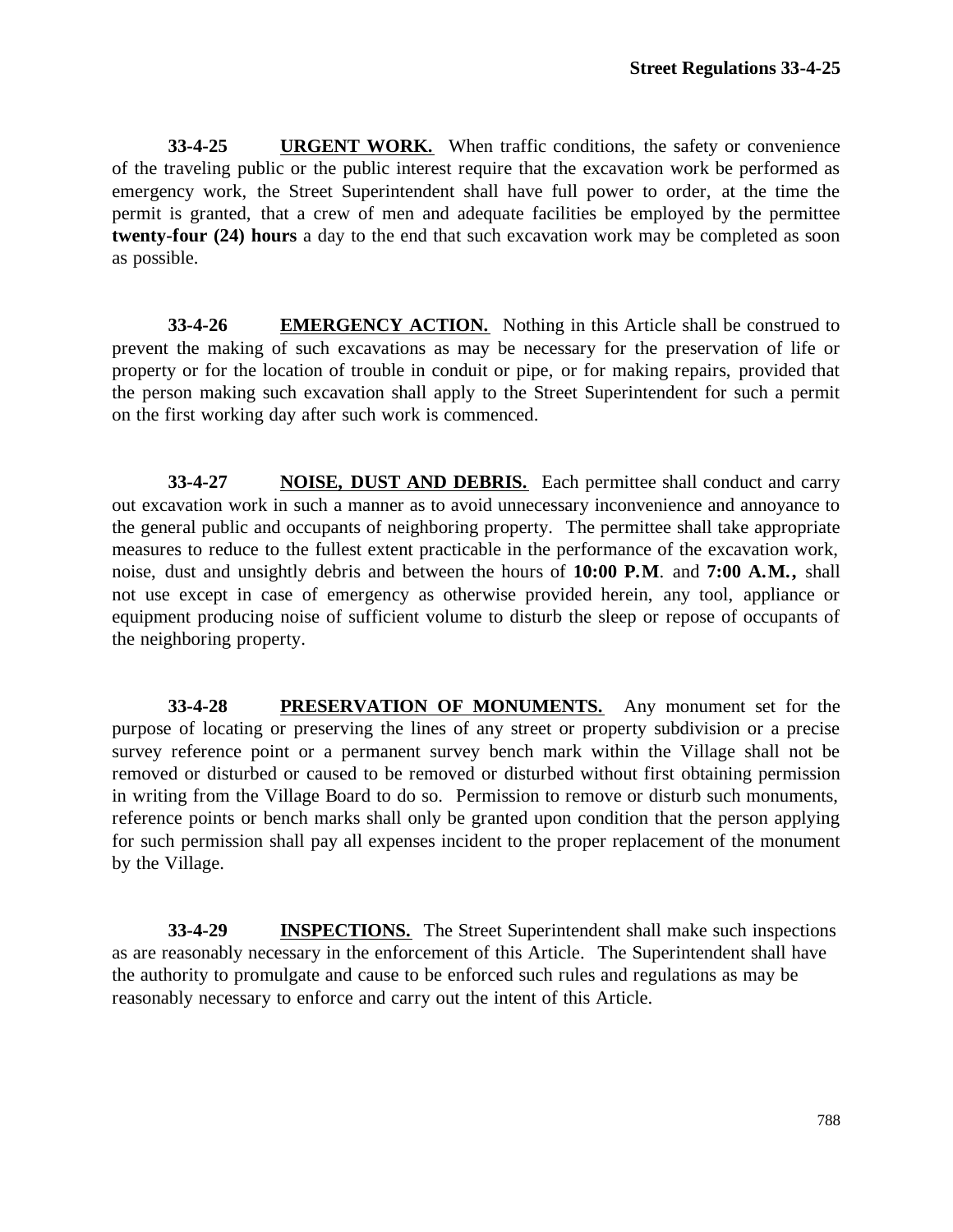**33-4-25 URGENT WORK.** When traffic conditions, the safety or convenience of the traveling public or the public interest require that the excavation work be performed as emergency work, the Street Superintendent shall have full power to order, at the time the permit is granted, that a crew of men and adequate facilities be employed by the permittee **twenty-four (24) hours** a day to the end that such excavation work may be completed as soon as possible.

**33-4-26 EMERGENCY ACTION.** Nothing in this Article shall be construed to prevent the making of such excavations as may be necessary for the preservation of life or property or for the location of trouble in conduit or pipe, or for making repairs, provided that the person making such excavation shall apply to the Street Superintendent for such a permit on the first working day after such work is commenced.

**33-4-27 NOISE, DUST AND DEBRIS.** Each permittee shall conduct and carry out excavation work in such a manner as to avoid unnecessary inconvenience and annoyance to the general public and occupants of neighboring property. The permittee shall take appropriate measures to reduce to the fullest extent practicable in the performance of the excavation work, noise, dust and unsightly debris and between the hours of **10:00 P.M**. and **7:00 A.M.,** shall not use except in case of emergency as otherwise provided herein, any tool, appliance or equipment producing noise of sufficient volume to disturb the sleep or repose of occupants of the neighboring property.

**33-4-28 PRESERVATION OF MONUMENTS.** Any monument set for the purpose of locating or preserving the lines of any street or property subdivision or a precise survey reference point or a permanent survey bench mark within the Village shall not be removed or disturbed or caused to be removed or disturbed without first obtaining permission in writing from the Village Board to do so. Permission to remove or disturb such monuments, reference points or bench marks shall only be granted upon condition that the person applying for such permission shall pay all expenses incident to the proper replacement of the monument by the Village.

**33-4-29 INSPECTIONS.** The Street Superintendent shall make such inspections as are reasonably necessary in the enforcement of this Article. The Superintendent shall have the authority to promulgate and cause to be enforced such rules and regulations as may be reasonably necessary to enforce and carry out the intent of this Article.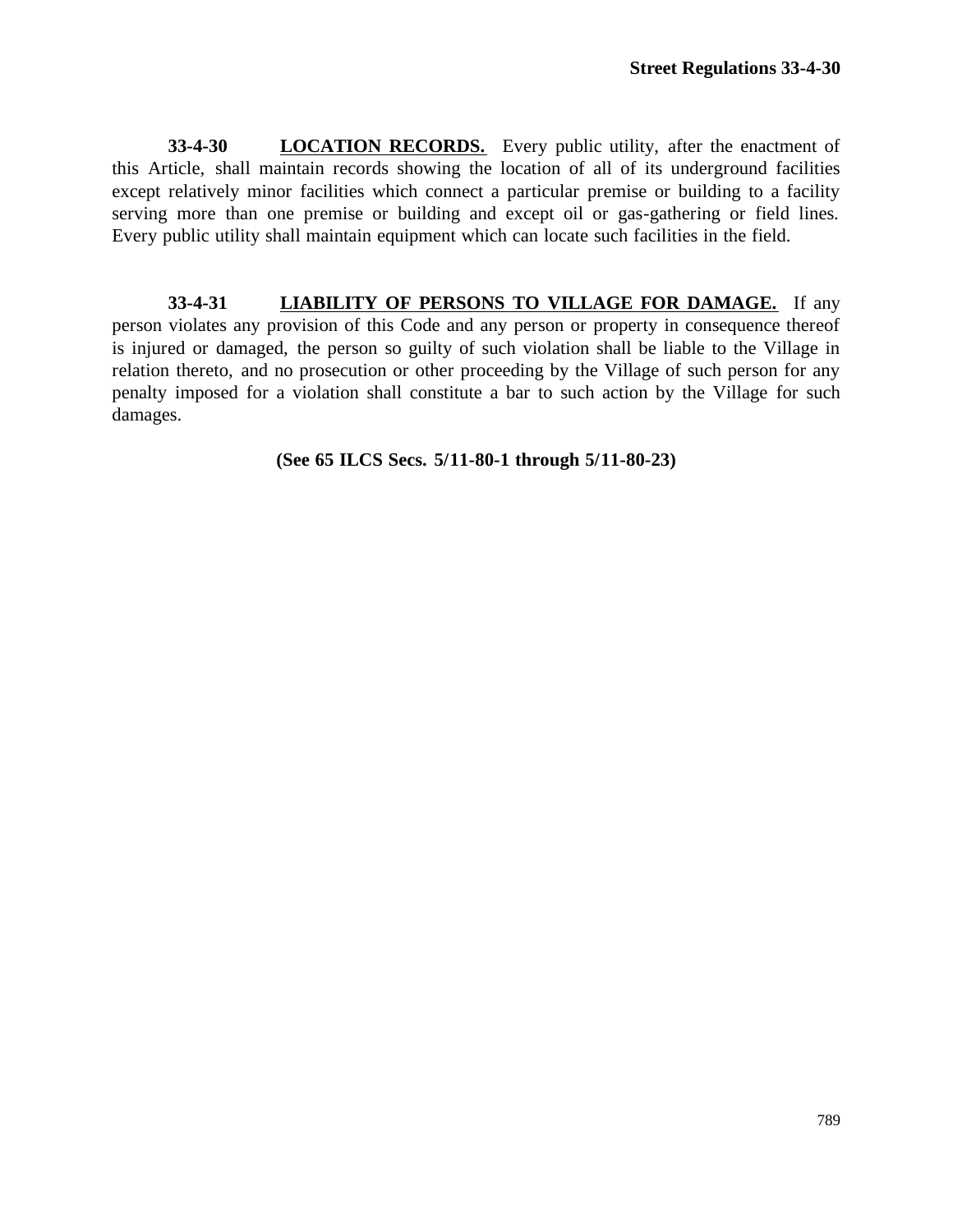**33-4-30 LOCATION RECORDS.** Every public utility, after the enactment of this Article, shall maintain records showing the location of all of its underground facilities except relatively minor facilities which connect a particular premise or building to a facility serving more than one premise or building and except oil or gas-gathering or field lines. Every public utility shall maintain equipment which can locate such facilities in the field.

**33-4-31 LIABILITY OF PERSONS TO VILLAGE FOR DAMAGE.** If any person violates any provision of this Code and any person or property in consequence thereof is injured or damaged, the person so guilty of such violation shall be liable to the Village in relation thereto, and no prosecution or other proceeding by the Village of such person for any penalty imposed for a violation shall constitute a bar to such action by the Village for such damages.

## **(See 65 ILCS Secs. 5/11-80-1 through 5/11-80-23)**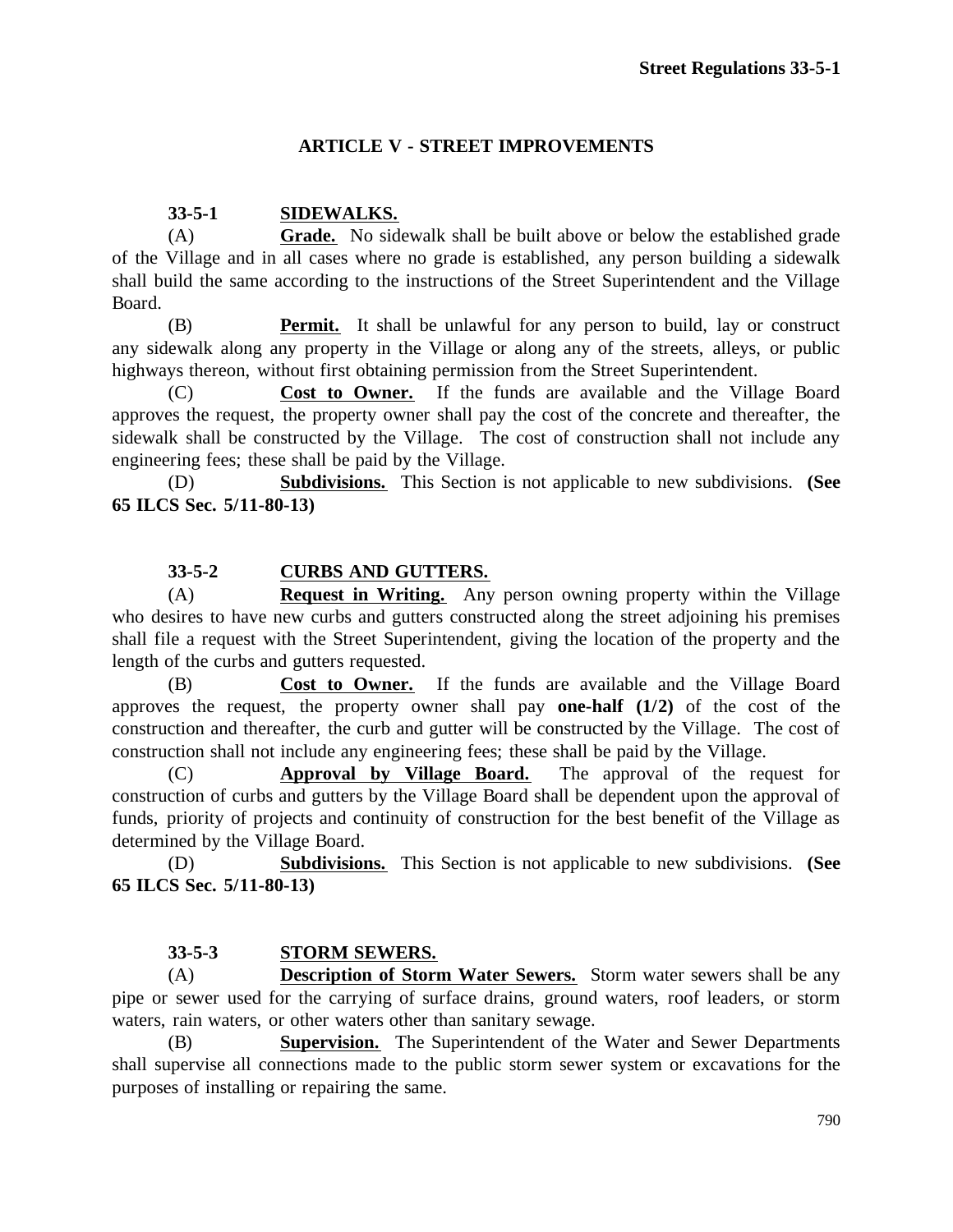# **ARTICLE V - STREET IMPROVEMENTS**

## **33-5-1 SIDEWALKS.**

(A) **Grade.** No sidewalk shall be built above or below the established grade of the Village and in all cases where no grade is established, any person building a sidewalk shall build the same according to the instructions of the Street Superintendent and the Village Board.

(B) **Permit.** It shall be unlawful for any person to build, lay or construct any sidewalk along any property in the Village or along any of the streets, alleys, or public highways thereon, without first obtaining permission from the Street Superintendent.

(C) **Cost to Owner.** If the funds are available and the Village Board approves the request, the property owner shall pay the cost of the concrete and thereafter, the sidewalk shall be constructed by the Village. The cost of construction shall not include any engineering fees; these shall be paid by the Village.

(D) **Subdivisions.** This Section is not applicable to new subdivisions. **(See 65 ILCS Sec. 5/11-80-13)**

## **33-5-2 CURBS AND GUTTERS.**

(A) **Request in Writing.** Any person owning property within the Village who desires to have new curbs and gutters constructed along the street adjoining his premises shall file a request with the Street Superintendent, giving the location of the property and the length of the curbs and gutters requested.

(B) **Cost to Owner.** If the funds are available and the Village Board approves the request, the property owner shall pay **one-half (1/2)** of the cost of the construction and thereafter, the curb and gutter will be constructed by the Village. The cost of construction shall not include any engineering fees; these shall be paid by the Village.

(C) **Approval by Village Board.** The approval of the request for construction of curbs and gutters by the Village Board shall be dependent upon the approval of funds, priority of projects and continuity of construction for the best benefit of the Village as determined by the Village Board.

(D) **Subdivisions.** This Section is not applicable to new subdivisions. **(See 65 ILCS Sec. 5/11-80-13)**

## **33-5-3 STORM SEWERS.**

(A) **Description of Storm Water Sewers.** Storm water sewers shall be any pipe or sewer used for the carrying of surface drains, ground waters, roof leaders, or storm waters, rain waters, or other waters other than sanitary sewage.

(B) **Supervision.** The Superintendent of the Water and Sewer Departments shall supervise all connections made to the public storm sewer system or excavations for the purposes of installing or repairing the same.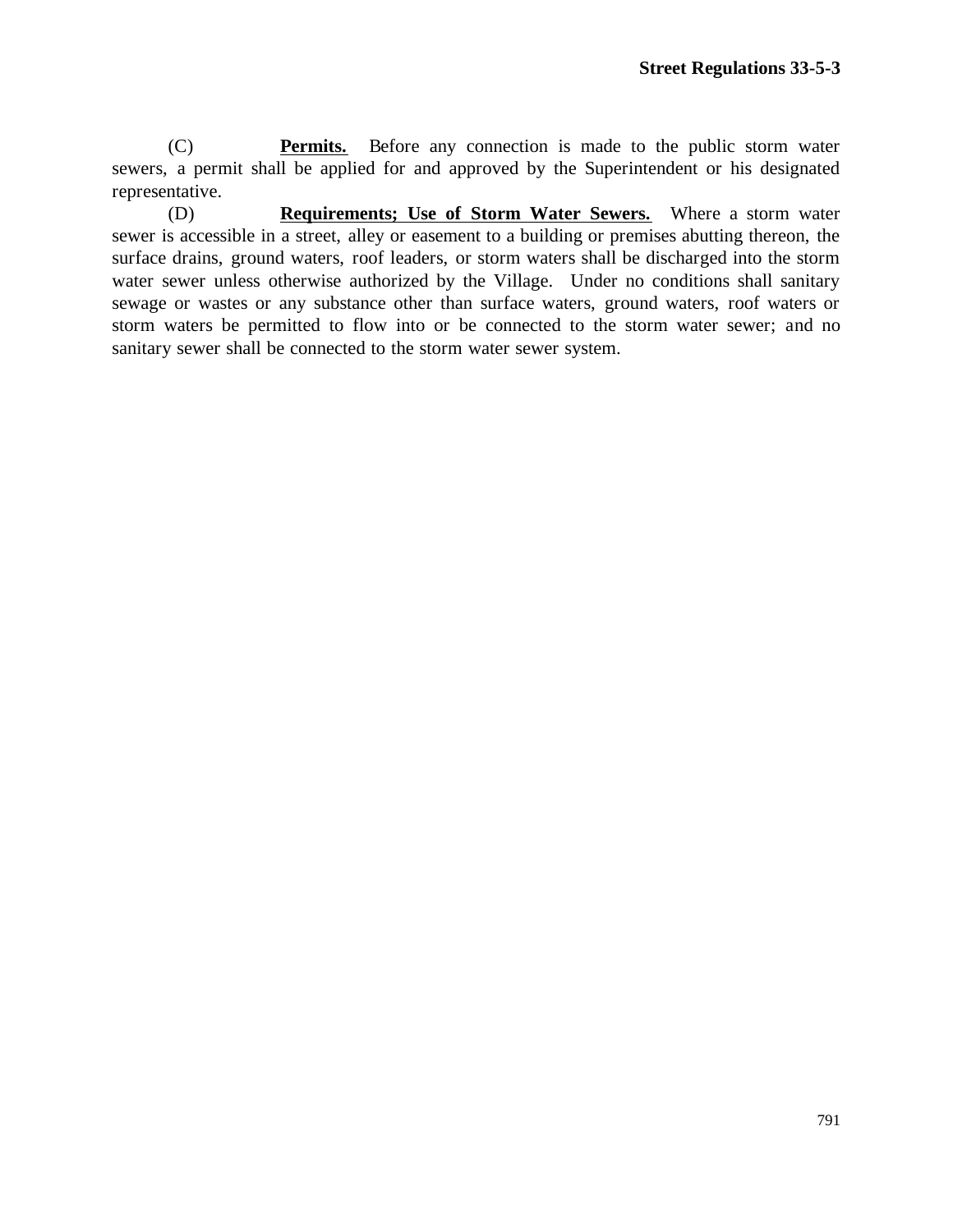(C) **Permits.** Before any connection is made to the public storm water sewers, a permit shall be applied for and approved by the Superintendent or his designated representative.

(D) **Requirements; Use of Storm Water Sewers.** Where a storm water sewer is accessible in a street, alley or easement to a building or premises abutting thereon, the surface drains, ground waters, roof leaders, or storm waters shall be discharged into the storm water sewer unless otherwise authorized by the Village. Under no conditions shall sanitary sewage or wastes or any substance other than surface waters, ground waters, roof waters or storm waters be permitted to flow into or be connected to the storm water sewer; and no sanitary sewer shall be connected to the storm water sewer system.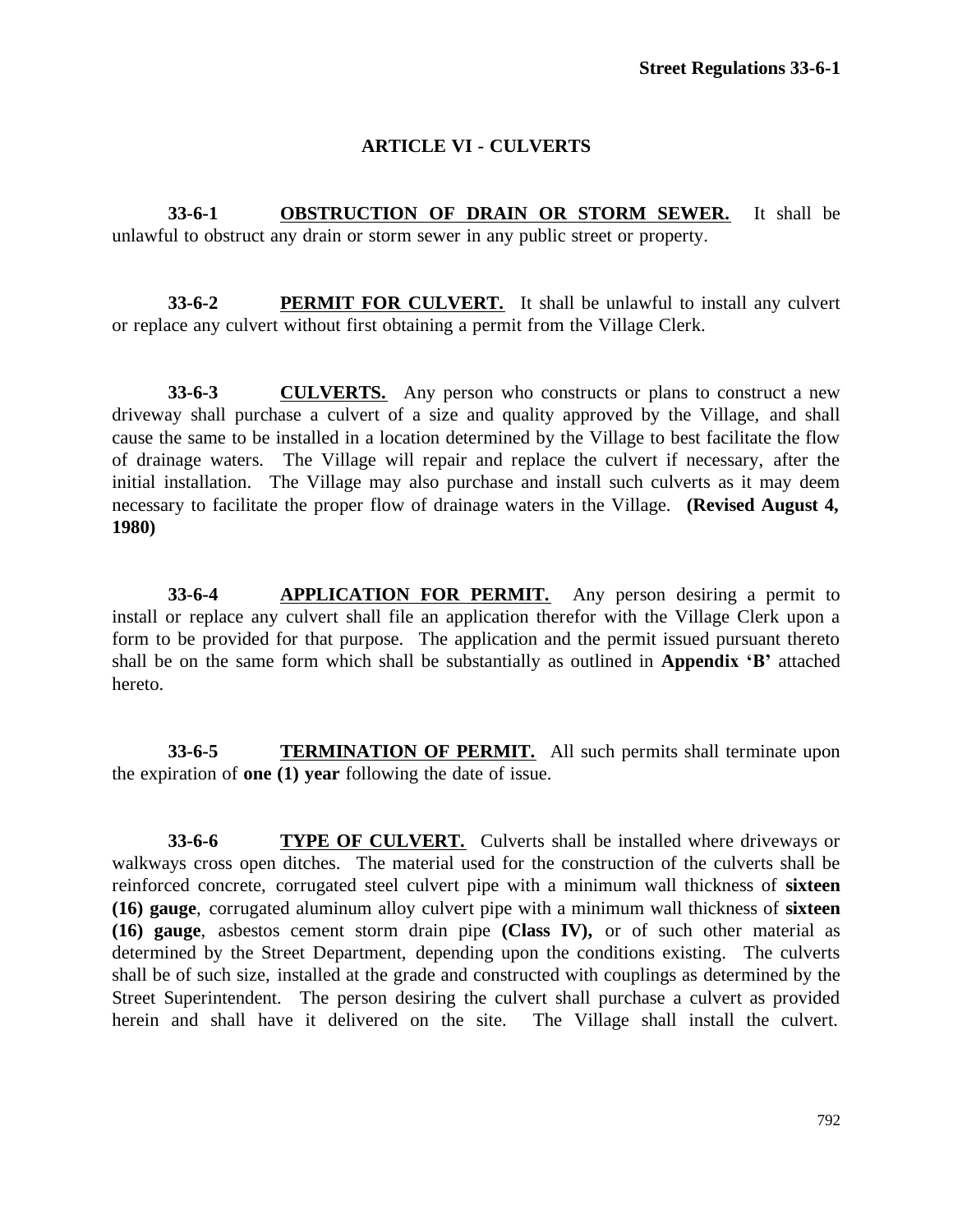# **ARTICLE VI - CULVERTS**

**33-6-1 OBSTRUCTION OF DRAIN OR STORM SEWER.** It shall be unlawful to obstruct any drain or storm sewer in any public street or property.

**33-6-2 PERMIT FOR CULVERT.** It shall be unlawful to install any culvert or replace any culvert without first obtaining a permit from the Village Clerk.

**33-6-3 CULVERTS.** Any person who constructs or plans to construct a new driveway shall purchase a culvert of a size and quality approved by the Village, and shall cause the same to be installed in a location determined by the Village to best facilitate the flow of drainage waters. The Village will repair and replace the culvert if necessary, after the initial installation. The Village may also purchase and install such culverts as it may deem necessary to facilitate the proper flow of drainage waters in the Village. **(Revised August 4, 1980)**

**33-6-4 APPLICATION FOR PERMIT.** Any person desiring a permit to install or replace any culvert shall file an application therefor with the Village Clerk upon a form to be provided for that purpose. The application and the permit issued pursuant thereto shall be on the same form which shall be substantially as outlined in **Appendix 'B'** attached hereto.

**33-6-5 TERMINATION OF PERMIT.** All such permits shall terminate upon the expiration of **one (1) year** following the date of issue.

**33-6-6 TYPE OF CULVERT.** Culverts shall be installed where driveways or walkways cross open ditches. The material used for the construction of the culverts shall be reinforced concrete, corrugated steel culvert pipe with a minimum wall thickness of **sixteen (16) gauge**, corrugated aluminum alloy culvert pipe with a minimum wall thickness of **sixteen (16) gauge**, asbestos cement storm drain pipe **(Class IV),** or of such other material as determined by the Street Department, depending upon the conditions existing. The culverts shall be of such size, installed at the grade and constructed with couplings as determined by the Street Superintendent. The person desiring the culvert shall purchase a culvert as provided herein and shall have it delivered on the site. The Village shall install the culvert.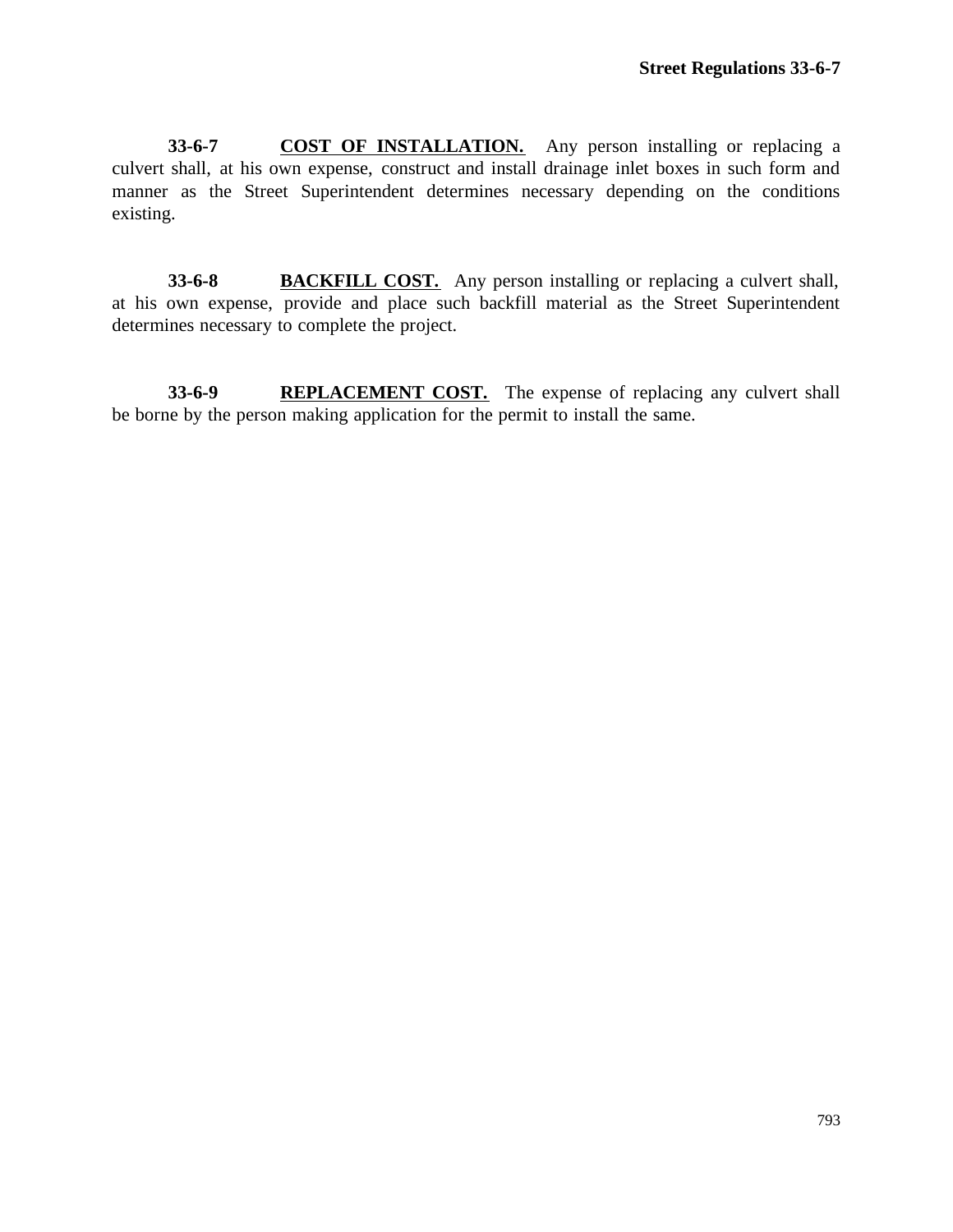**33-6-7 COST OF INSTALLATION.** Any person installing or replacing a culvert shall, at his own expense, construct and install drainage inlet boxes in such form and manner as the Street Superintendent determines necessary depending on the conditions existing.

**33-6-8 BACKFILL COST.** Any person installing or replacing a culvert shall, at his own expense, provide and place such backfill material as the Street Superintendent determines necessary to complete the project.

**33-6-9 REPLACEMENT COST.** The expense of replacing any culvert shall be borne by the person making application for the permit to install the same.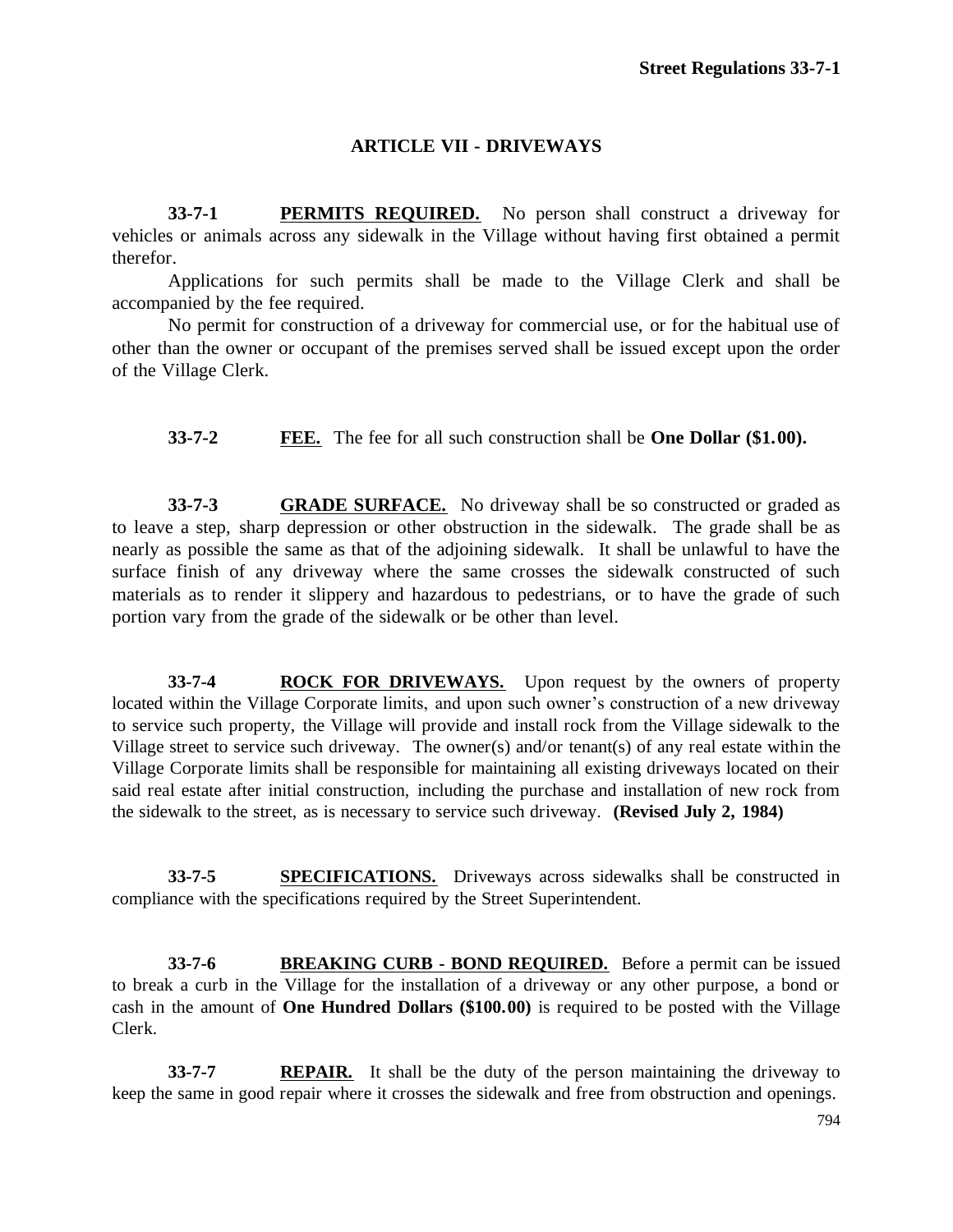## **ARTICLE VII - DRIVEWAYS**

**33-7-1 PERMITS REQUIRED.** No person shall construct a driveway for vehicles or animals across any sidewalk in the Village without having first obtained a permit therefor.

Applications for such permits shall be made to the Village Clerk and shall be accompanied by the fee required.

No permit for construction of a driveway for commercial use, or for the habitual use of other than the owner or occupant of the premises served shall be issued except upon the order of the Village Clerk.

**33-7-2 FEE.** The fee for all such construction shall be **One Dollar (\$1.00).**

**33-7-3 GRADE SURFACE.** No driveway shall be so constructed or graded as to leave a step, sharp depression or other obstruction in the sidewalk. The grade shall be as nearly as possible the same as that of the adjoining sidewalk. It shall be unlawful to have the surface finish of any driveway where the same crosses the sidewalk constructed of such materials as to render it slippery and hazardous to pedestrians, or to have the grade of such portion vary from the grade of the sidewalk or be other than level.

**33-7-4 ROCK FOR DRIVEWAYS.** Upon request by the owners of property located within the Village Corporate limits, and upon such owner's construction of a new driveway to service such property, the Village will provide and install rock from the Village sidewalk to the Village street to service such driveway. The owner(s) and/or tenant(s) of any real estate within the Village Corporate limits shall be responsible for maintaining all existing driveways located on their said real estate after initial construction, including the purchase and installation of new rock from the sidewalk to the street, as is necessary to service such driveway. **(Revised July 2, 1984)**

**33-7-5 SPECIFICATIONS.** Driveways across sidewalks shall be constructed in compliance with the specifications required by the Street Superintendent.

**33-7-6 BREAKING CURB - BOND REQUIRED.** Before a permit can be issued to break a curb in the Village for the installation of a driveway or any other purpose, a bond or cash in the amount of **One Hundred Dollars (\$100.00)** is required to be posted with the Village Clerk.

**33-7-7 REPAIR.** It shall be the duty of the person maintaining the driveway to keep the same in good repair where it crosses the sidewalk and free from obstruction and openings.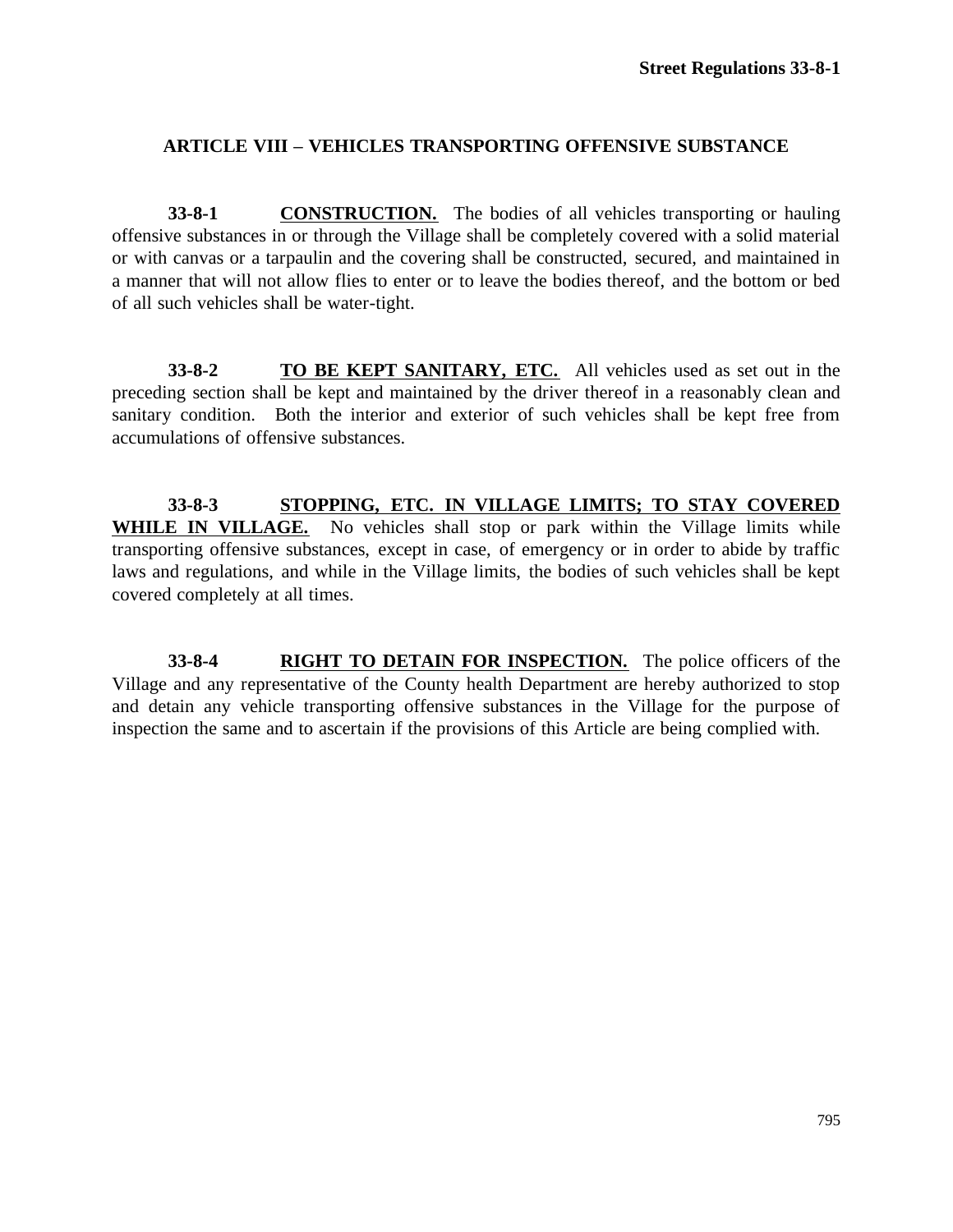## **ARTICLE VIII – VEHICLES TRANSPORTING OFFENSIVE SUBSTANCE**

**33-8-1 CONSTRUCTION.** The bodies of all vehicles transporting or hauling offensive substances in or through the Village shall be completely covered with a solid material or with canvas or a tarpaulin and the covering shall be constructed, secured, and maintained in a manner that will not allow flies to enter or to leave the bodies thereof, and the bottom or bed of all such vehicles shall be water-tight.

**33-8-2 TO BE KEPT SANITARY, ETC.** All vehicles used as set out in the preceding section shall be kept and maintained by the driver thereof in a reasonably clean and sanitary condition. Both the interior and exterior of such vehicles shall be kept free from accumulations of offensive substances.

**33-8-3 STOPPING, ETC. IN VILLAGE LIMITS; TO STAY COVERED**  WHILE IN VILLAGE. No vehicles shall stop or park within the Village limits while transporting offensive substances, except in case, of emergency or in order to abide by traffic laws and regulations, and while in the Village limits, the bodies of such vehicles shall be kept covered completely at all times.

**33-8-4 RIGHT TO DETAIN FOR INSPECTION.** The police officers of the Village and any representative of the County health Department are hereby authorized to stop and detain any vehicle transporting offensive substances in the Village for the purpose of inspection the same and to ascertain if the provisions of this Article are being complied with.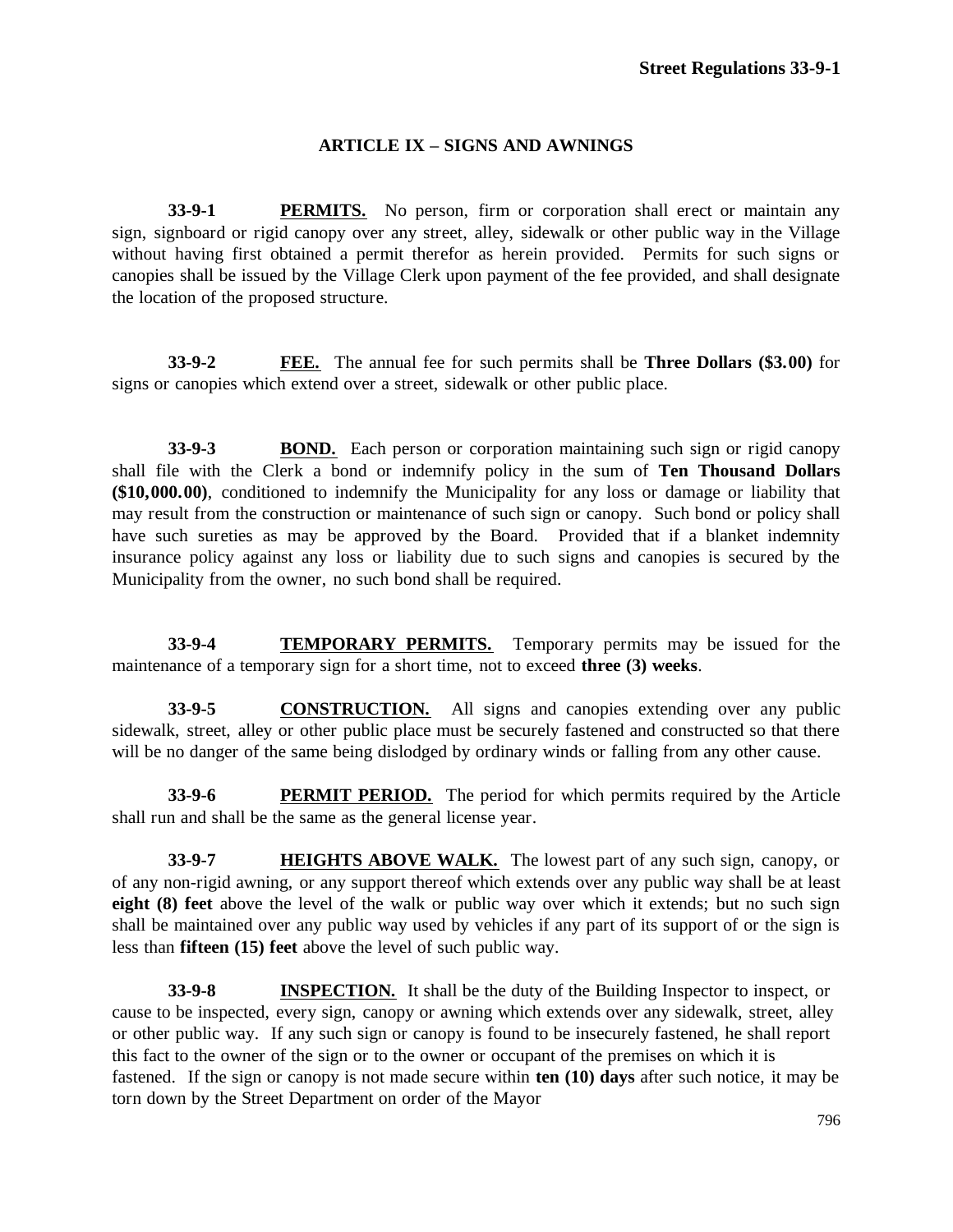#### **ARTICLE IX – SIGNS AND AWNINGS**

**33-9-1 PERMITS.** No person, firm or corporation shall erect or maintain any sign, signboard or rigid canopy over any street, alley, sidewalk or other public way in the Village without having first obtained a permit therefor as herein provided. Permits for such signs or canopies shall be issued by the Village Clerk upon payment of the fee provided, and shall designate the location of the proposed structure.

**33-9-2 FEE.** The annual fee for such permits shall be **Three Dollars (\$3.00)** for signs or canopies which extend over a street, sidewalk or other public place.

**33-9-3 BOND.** Each person or corporation maintaining such sign or rigid canopy shall file with the Clerk a bond or indemnify policy in the sum of **Ten Thousand Dollars (\$10,000.00)**, conditioned to indemnify the Municipality for any loss or damage or liability that may result from the construction or maintenance of such sign or canopy. Such bond or policy shall have such sureties as may be approved by the Board. Provided that if a blanket indemnity insurance policy against any loss or liability due to such signs and canopies is secured by the Municipality from the owner, no such bond shall be required.

**33-9-4 TEMPORARY PERMITS.** Temporary permits may be issued for the maintenance of a temporary sign for a short time, not to exceed **three (3) weeks**.

**33-9-5 CONSTRUCTION.** All signs and canopies extending over any public sidewalk, street, alley or other public place must be securely fastened and constructed so that there will be no danger of the same being dislodged by ordinary winds or falling from any other cause.

**33-9-6 PERMIT PERIOD.** The period for which permits required by the Article shall run and shall be the same as the general license year.

**33-9-7 HEIGHTS ABOVE WALK.** The lowest part of any such sign, canopy, or of any non-rigid awning, or any support thereof which extends over any public way shall be at least **eight (8) feet** above the level of the walk or public way over which it extends; but no such sign shall be maintained over any public way used by vehicles if any part of its support of or the sign is less than **fifteen (15) feet** above the level of such public way.

**33-9-8 INSPECTION.** It shall be the duty of the Building Inspector to inspect, or cause to be inspected, every sign, canopy or awning which extends over any sidewalk, street, alley or other public way. If any such sign or canopy is found to be insecurely fastened, he shall report this fact to the owner of the sign or to the owner or occupant of the premises on which it is fastened. If the sign or canopy is not made secure within **ten (10) days** after such notice, it may be torn down by the Street Department on order of the Mayor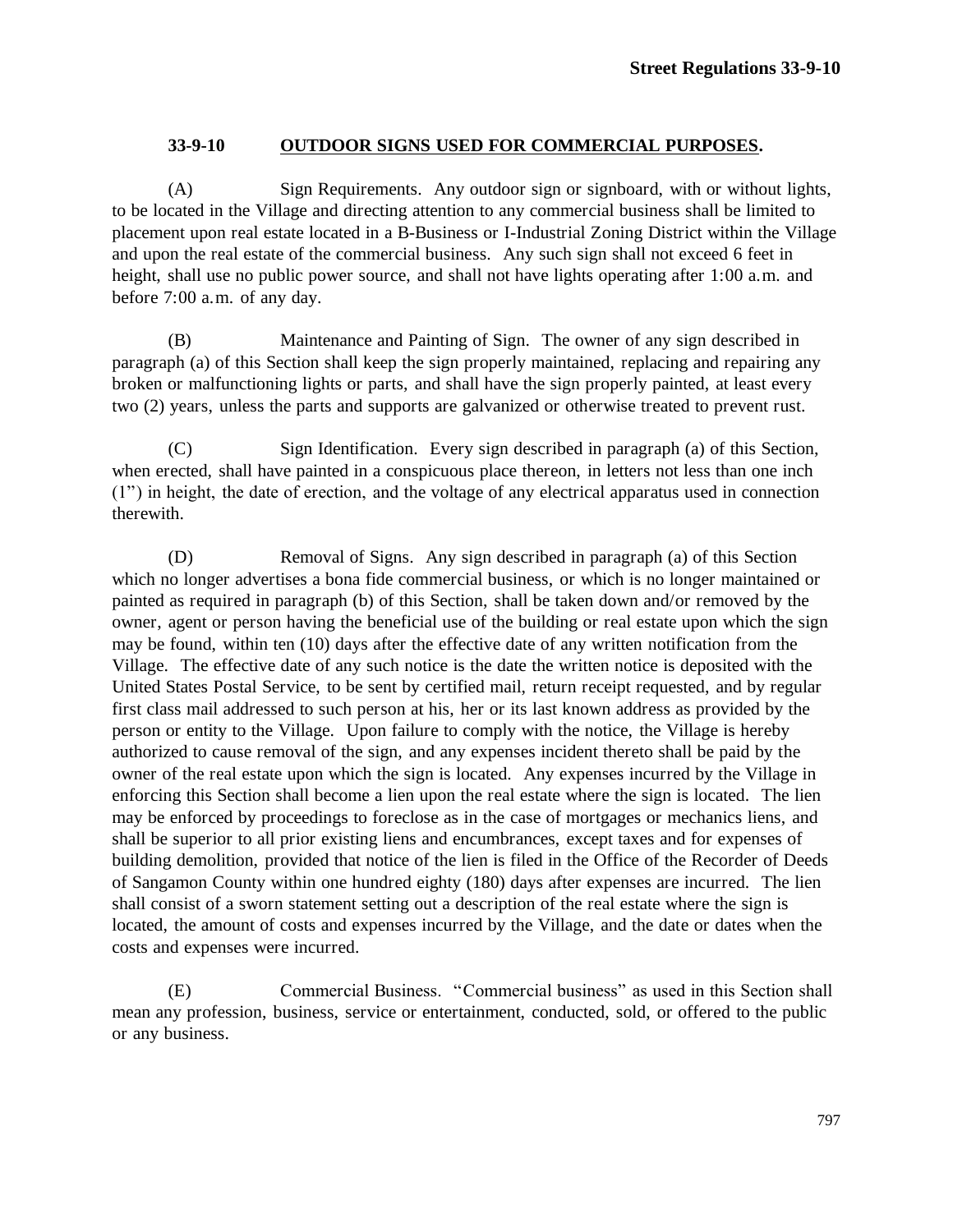#### **33-9-10 OUTDOOR SIGNS USED FOR COMMERCIAL PURPOSES.**

(A) Sign Requirements. Any outdoor sign or signboard, with or without lights, to be located in the Village and directing attention to any commercial business shall be limited to placement upon real estate located in a B-Business or I-Industrial Zoning District within the Village and upon the real estate of the commercial business. Any such sign shall not exceed 6 feet in height, shall use no public power source, and shall not have lights operating after 1:00 a.m. and before 7:00 a.m. of any day.

(B) Maintenance and Painting of Sign. The owner of any sign described in paragraph (a) of this Section shall keep the sign properly maintained, replacing and repairing any broken or malfunctioning lights or parts, and shall have the sign properly painted, at least every two (2) years, unless the parts and supports are galvanized or otherwise treated to prevent rust.

(C) Sign Identification. Every sign described in paragraph (a) of this Section, when erected, shall have painted in a conspicuous place thereon, in letters not less than one inch (1") in height, the date of erection, and the voltage of any electrical apparatus used in connection therewith.

(D) Removal of Signs. Any sign described in paragraph (a) of this Section which no longer advertises a bona fide commercial business, or which is no longer maintained or painted as required in paragraph (b) of this Section, shall be taken down and/or removed by the owner, agent or person having the beneficial use of the building or real estate upon which the sign may be found, within ten (10) days after the effective date of any written notification from the Village. The effective date of any such notice is the date the written notice is deposited with the United States Postal Service, to be sent by certified mail, return receipt requested, and by regular first class mail addressed to such person at his, her or its last known address as provided by the person or entity to the Village. Upon failure to comply with the notice, the Village is hereby authorized to cause removal of the sign, and any expenses incident thereto shall be paid by the owner of the real estate upon which the sign is located. Any expenses incurred by the Village in enforcing this Section shall become a lien upon the real estate where the sign is located. The lien may be enforced by proceedings to foreclose as in the case of mortgages or mechanics liens, and shall be superior to all prior existing liens and encumbrances, except taxes and for expenses of building demolition, provided that notice of the lien is filed in the Office of the Recorder of Deeds of Sangamon County within one hundred eighty (180) days after expenses are incurred. The lien shall consist of a sworn statement setting out a description of the real estate where the sign is located, the amount of costs and expenses incurred by the Village, and the date or dates when the costs and expenses were incurred.

(E) Commercial Business. "Commercial business" as used in this Section shall mean any profession, business, service or entertainment, conducted, sold, or offered to the public or any business.